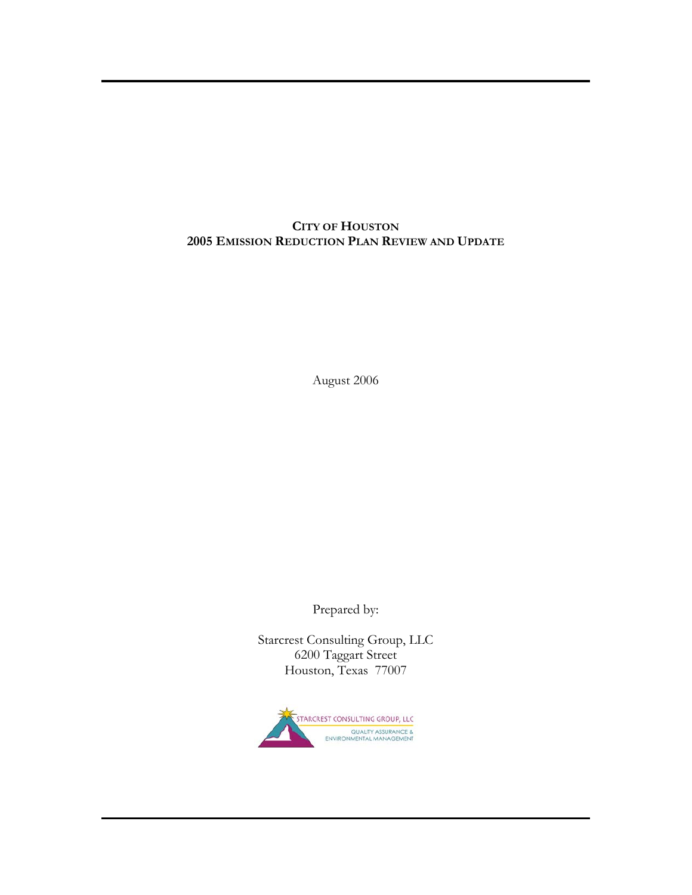# **CITY OF HOUSTON 2005 EMISSION REDUCTION PLAN REVIEW AND UPDATE**

August 2006

Prepared by:

Starcrest Consulting Group, LLC 6200 Taggart Street Houston, Texas 77007

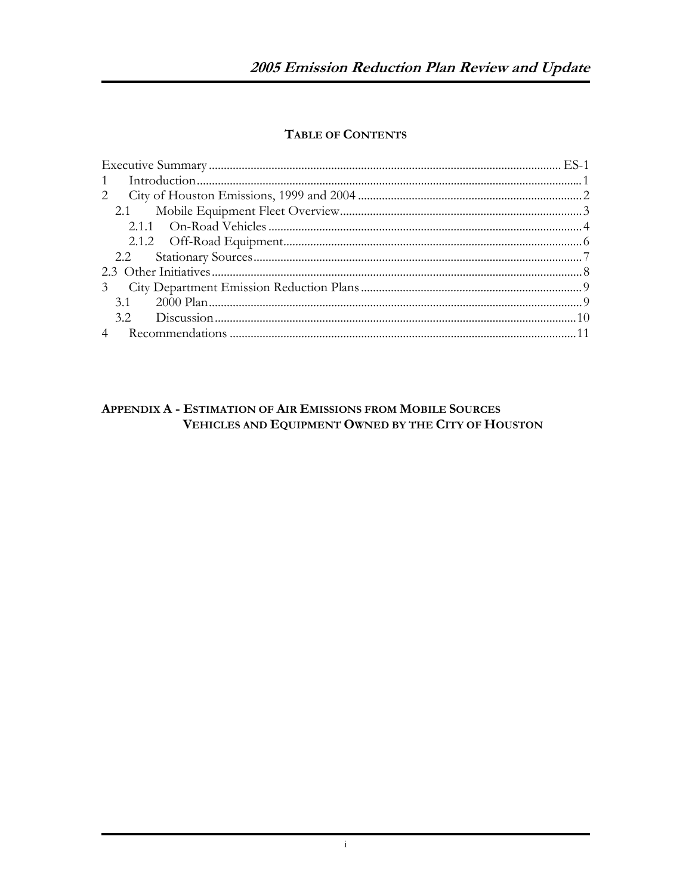# **TABLE OF CONTENTS**

| $\mathcal{E}$  |  |
|----------------|--|
|                |  |
|                |  |
| $\overline{4}$ |  |

### APPENDIX A - ESTIMATION OF AIR EMISSIONS FROM MOBILE SOURCES VEHICLES AND EQUIPMENT OWNED BY THE CITY OF HOUSTON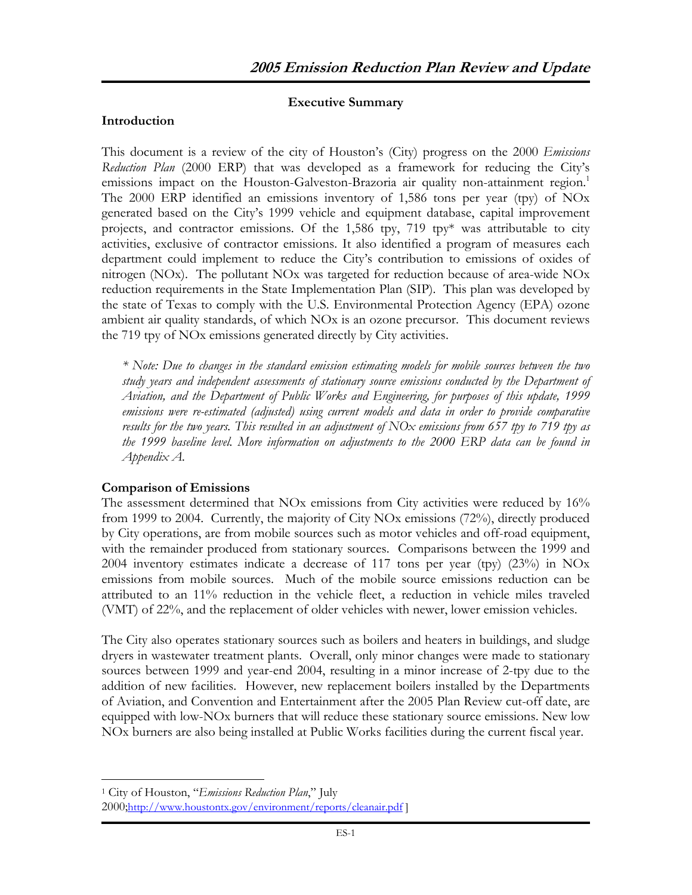# **Executive Summary**

# <span id="page-2-0"></span>**Introduction**

This document is a review of the city of Houston's (City) progress on the 2000 *Emissions Reduction Plan* (2000 ERP) that was developed as a framework for reducing the City's emissions impact on the Houston-Galveston-Brazoria air quality non-attainment region.<sup>[1](#page-2-1)</sup> The 2000 ERP identified an emissions inventory of 1,586 tons per year (tpy) of NOx generated based on the City's 1999 vehicle and equipment database, capital improvement projects, and contractor emissions. Of the 1,586 tpy, 719 tpy\* was attributable to city activities, exclusive of contractor emissions. It also identified a program of measures each department could implement to reduce the City's contribution to emissions of oxides of nitrogen (NOx). The pollutant NOx was targeted for reduction because of area-wide NOx reduction requirements in the State Implementation Plan (SIP). This plan was developed by the state of Texas to comply with the U.S. Environmental Protection Agency (EPA) ozone ambient air quality standards, of which NOx is an ozone precursor. This document reviews the 719 tpy of NOx emissions generated directly by City activities.

*\* Note: Due to changes in the standard emission estimating models for mobile sources between the two study years and independent assessments of stationary source emissions conducted by the Department of Aviation, and the Department of Public Works and Engineering, for purposes of this update, 1999 emissions were re-estimated (adjusted) using current models and data in order to provide comparative results for the two years. This resulted in an adjustment of NOx emissions from 657 tpy to 719 tpy as the 1999 baseline level. More information on adjustments to the 2000 ERP data can be found in Appendix A.*

# **Comparison of Emissions**

The assessment determined that NOx emissions from City activities were reduced by 16% from 1999 to 2004. Currently, the majority of City NOx emissions (72%), directly produced by City operations, are from mobile sources such as motor vehicles and off-road equipment, with the remainder produced from stationary sources. Comparisons between the 1999 and 2004 inventory estimates indicate a decrease of 117 tons per year (tpy) (23%) in NOx emissions from mobile sources. Much of the mobile source emissions reduction can be attributed to an 11% reduction in the vehicle fleet, a reduction in vehicle miles traveled (VMT) of 22%, and the replacement of older vehicles with newer, lower emission vehicles.

The City also operates stationary sources such as boilers and heaters in buildings, and sludge dryers in wastewater treatment plants. Overall, only minor changes were made to stationary sources between 1999 and year-end 2004, resulting in a minor increase of 2-tpy due to the addition of new facilities. However, new replacement boilers installed by the Departments of Aviation, and Convention and Entertainment after the 2005 Plan Review cut-off date, are equipped with low-NOx burners that will reduce these stationary source emissions. New low NOx burners are also being installed at Public Works facilities during the current fiscal year.

<span id="page-2-1"></span> $\overline{a}$ 1 City of Houston, "*Emissions Reduction Plan*," July

<sup>2000</sup>[;http://www.houstontx.gov/environment/reports/cleanair.pdf](http://www.houstontx.gov/environment/reports/cleanair.pdf) ]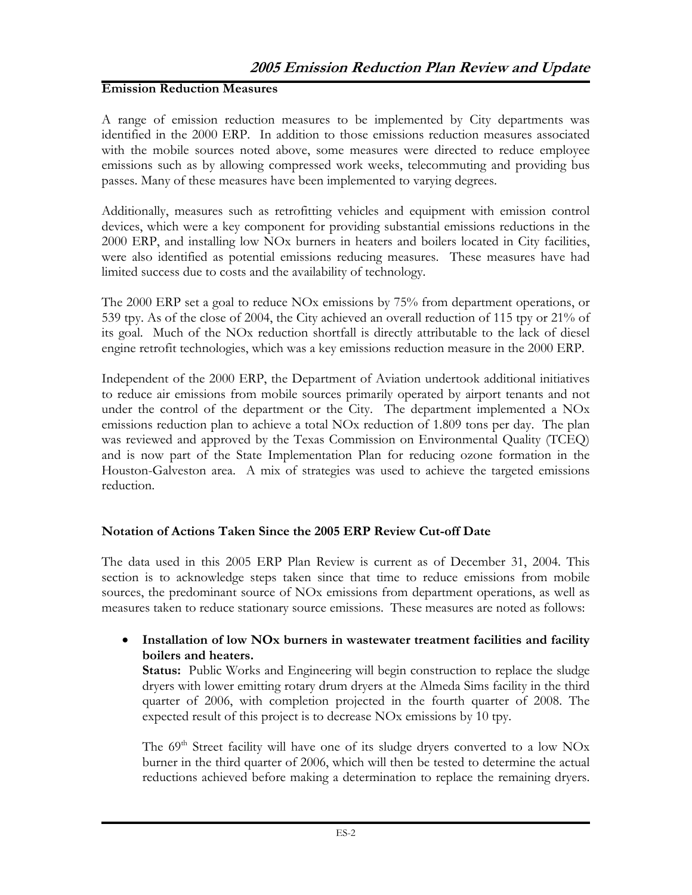# **Emission Reduction Measures**

A range of emission reduction measures to be implemented by City departments was identified in the 2000 ERP. In addition to those emissions reduction measures associated with the mobile sources noted above, some measures were directed to reduce employee emissions such as by allowing compressed work weeks, telecommuting and providing bus passes. Many of these measures have been implemented to varying degrees.

Additionally, measures such as retrofitting vehicles and equipment with emission control devices, which were a key component for providing substantial emissions reductions in the 2000 ERP, and installing low NOx burners in heaters and boilers located in City facilities, were also identified as potential emissions reducing measures. These measures have had limited success due to costs and the availability of technology.

The 2000 ERP set a goal to reduce NOx emissions by 75% from department operations, or 539 tpy. As of the close of 2004, the City achieved an overall reduction of 115 tpy or 21% of its goal. Much of the NOx reduction shortfall is directly attributable to the lack of diesel engine retrofit technologies, which was a key emissions reduction measure in the 2000 ERP.

Independent of the 2000 ERP, the Department of Aviation undertook additional initiatives to reduce air emissions from mobile sources primarily operated by airport tenants and not under the control of the department or the City. The department implemented a NOx emissions reduction plan to achieve a total NOx reduction of 1.809 tons per day. The plan was reviewed and approved by the Texas Commission on Environmental Quality (TCEQ) and is now part of the State Implementation Plan for reducing ozone formation in the Houston-Galveston area. A mix of strategies was used to achieve the targeted emissions reduction.

# **Notation of Actions Taken Since the 2005 ERP Review Cut-off Date**

The data used in this 2005 ERP Plan Review is current as of December 31, 2004. This section is to acknowledge steps taken since that time to reduce emissions from mobile sources, the predominant source of NOx emissions from department operations, as well as measures taken to reduce stationary source emissions. These measures are noted as follows:

• **Installation of low NOx burners in wastewater treatment facilities and facility boilers and heaters.** 

**Status:** Public Works and Engineering will begin construction to replace the sludge dryers with lower emitting rotary drum dryers at the Almeda Sims facility in the third quarter of 2006, with completion projected in the fourth quarter of 2008. The expected result of this project is to decrease NOx emissions by 10 tpy.

The 69<sup>th</sup> Street facility will have one of its sludge dryers converted to a low NOx burner in the third quarter of 2006, which will then be tested to determine the actual reductions achieved before making a determination to replace the remaining dryers.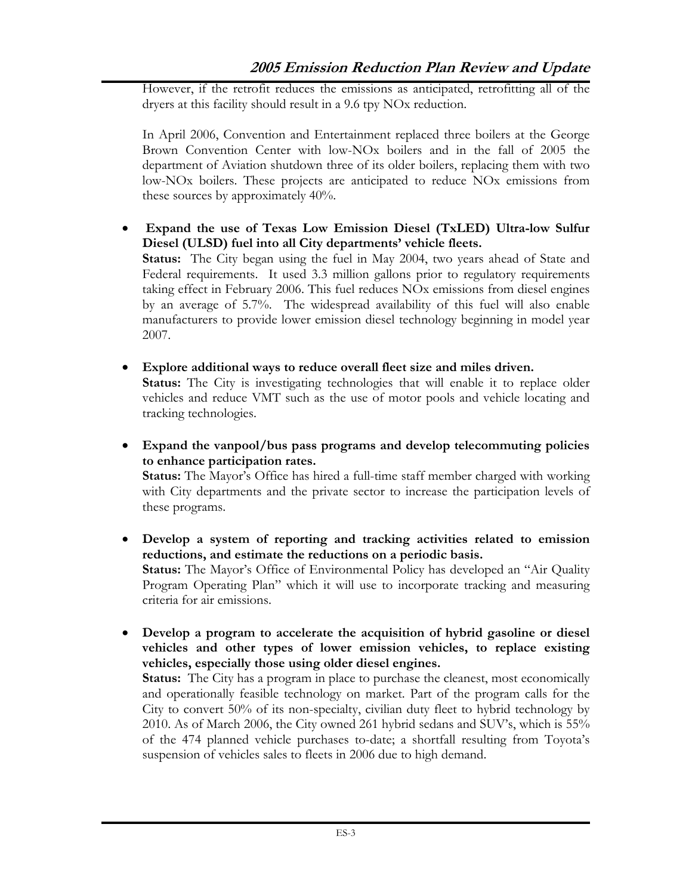# **2005 Emission Reduction Plan Review and Update**

However, if the retrofit reduces the emissions as anticipated, retrofitting all of the dryers at this facility should result in a 9.6 tpy NOx reduction.

In April 2006, Convention and Entertainment replaced three boilers at the George Brown Convention Center with low-NOx boilers and in the fall of 2005 the department of Aviation shutdown three of its older boilers, replacing them with two low-NOx boilers. These projects are anticipated to reduce NOx emissions from these sources by approximately 40%.

• **Expand the use of Texas Low Emission Diesel (TxLED) Ultra-low Sulfur Diesel (ULSD) fuel into all City departments' vehicle fleets.** 

**Status:** The City began using the fuel in May 2004, two years ahead of State and Federal requirements. It used 3.3 million gallons prior to regulatory requirements taking effect in February 2006. This fuel reduces NOx emissions from diesel engines by an average of 5.7%. The widespread availability of this fuel will also enable manufacturers to provide lower emission diesel technology beginning in model year 2007.

• **Explore additional ways to reduce overall fleet size and miles driven. Status:** The City is investigating technologies that will enable it to replace older vehicles and reduce VMT such as the use of motor pools and vehicle locating and tracking technologies.

• **Expand the vanpool/bus pass programs and develop telecommuting policies to enhance participation rates. Status:** The Mayor's Office has hired a full-time staff member charged with working

with City departments and the private sector to increase the participation levels of these programs.

• **Develop a system of reporting and tracking activities related to emission reductions, and estimate the reductions on a periodic basis. Status:** The Mayor's Office of Environmental Policy has developed an "Air Quality Program Operating Plan" which it will use to incorporate tracking and measuring criteria for air emissions.

• **Develop a program to accelerate the acquisition of hybrid gasoline or diesel vehicles and other types of lower emission vehicles, to replace existing vehicles, especially those using older diesel engines. Status:** The City has a program in place to purchase the cleanest, most economically and operationally feasible technology on market. Part of the program calls for the City to convert 50% of its non-specialty, civilian duty fleet to hybrid technology by 2010. As of March 2006, the City owned 261 hybrid sedans and SUV's, which is 55% of the 474 planned vehicle purchases to-date; a shortfall resulting from Toyota's suspension of vehicles sales to fleets in 2006 due to high demand.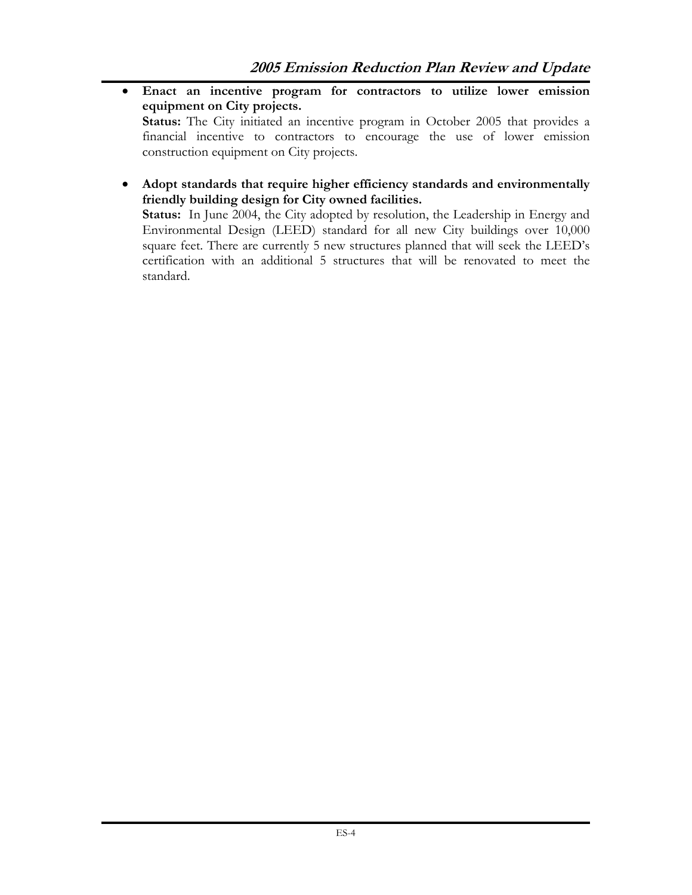- **Enact an incentive program for contractors to utilize lower emission equipment on City projects. Status:** The City initiated an incentive program in October 2005 that provides a financial incentive to contractors to encourage the use of lower emission construction equipment on City projects.
- **Adopt standards that require higher efficiency standards and environmentally friendly building design for City owned facilities. Status:** In June 2004, the City adopted by resolution, the Leadership in Energy and Environmental Design (LEED) standard for all new City buildings over 10,000 square feet. There are currently 5 new structures planned that will seek the LEED's

certification with an additional 5 structures that will be renovated to meet the

standard.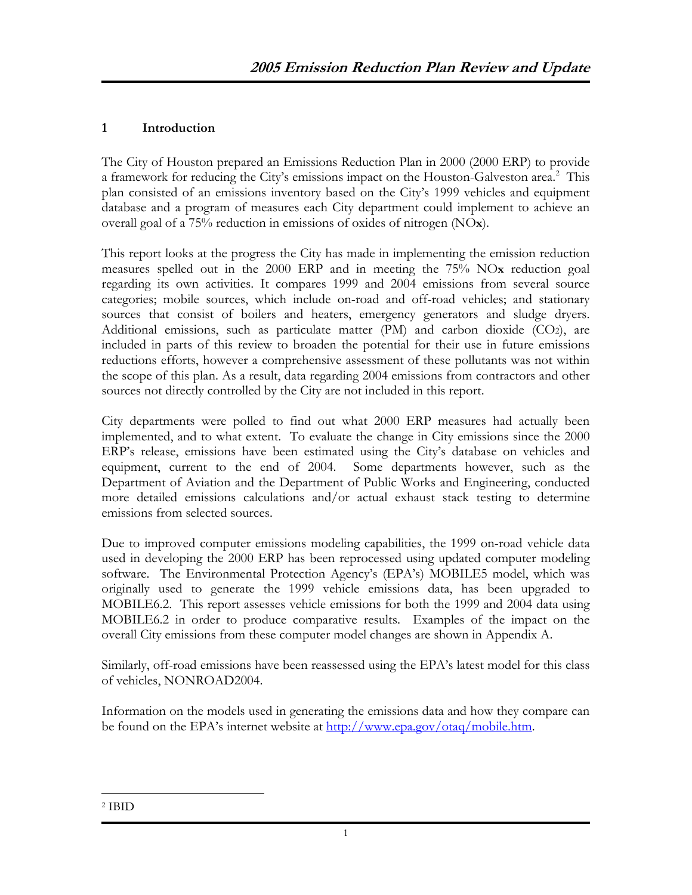# <span id="page-6-0"></span>**1 Introduction**

The City of Houston prepared an Emissions Reduction Plan in 2000 (2000 ERP) to provide a framework for reducing the City's emissions impact on the Houston-Galveston area.<sup>[2](#page-6-1)</sup> This plan consisted of an emissions inventory based on the City's 1999 vehicles and equipment database and a program of measures each City department could implement to achieve an overall goal of a 75% reduction in emissions of oxides of nitrogen (NO**x**).

This report looks at the progress the City has made in implementing the emission reduction measures spelled out in the 2000 ERP and in meeting the 75% NO**x** reduction goal regarding its own activities. It compares 1999 and 2004 emissions from several source categories; mobile sources, which include on-road and off-road vehicles; and stationary sources that consist of boilers and heaters, emergency generators and sludge dryers. Additional emissions, such as particulate matter (PM) and carbon dioxide (CO2), are included in parts of this review to broaden the potential for their use in future emissions reductions efforts, however a comprehensive assessment of these pollutants was not within the scope of this plan. As a result, data regarding 2004 emissions from contractors and other sources not directly controlled by the City are not included in this report.

City departments were polled to find out what 2000 ERP measures had actually been implemented, and to what extent. To evaluate the change in City emissions since the 2000 ERP's release, emissions have been estimated using the City's database on vehicles and equipment, current to the end of 2004. Some departments however, such as the Department of Aviation and the Department of Public Works and Engineering, conducted more detailed emissions calculations and/or actual exhaust stack testing to determine emissions from selected sources.

Due to improved computer emissions modeling capabilities, the 1999 on-road vehicle data used in developing the 2000 ERP has been reprocessed using updated computer modeling software. The Environmental Protection Agency's (EPA's) MOBILE5 model, which was originally used to generate the 1999 vehicle emissions data, has been upgraded to MOBILE6.2. This report assesses vehicle emissions for both the 1999 and 2004 data using MOBILE6.2 in order to produce comparative results. Examples of the impact on the overall City emissions from these computer model changes are shown in Appendix A.

Similarly, off-road emissions have been reassessed using the EPA's latest model for this class of vehicles, NONROAD2004.

Information on the models used in generating the emissions data and how they compare can be found on the EPA's internet website at [http://www.epa.gov/otaq/mobile.htm.](http://www.epa.gov/otaq/mobile.htm)

<span id="page-6-1"></span>2 IBID

1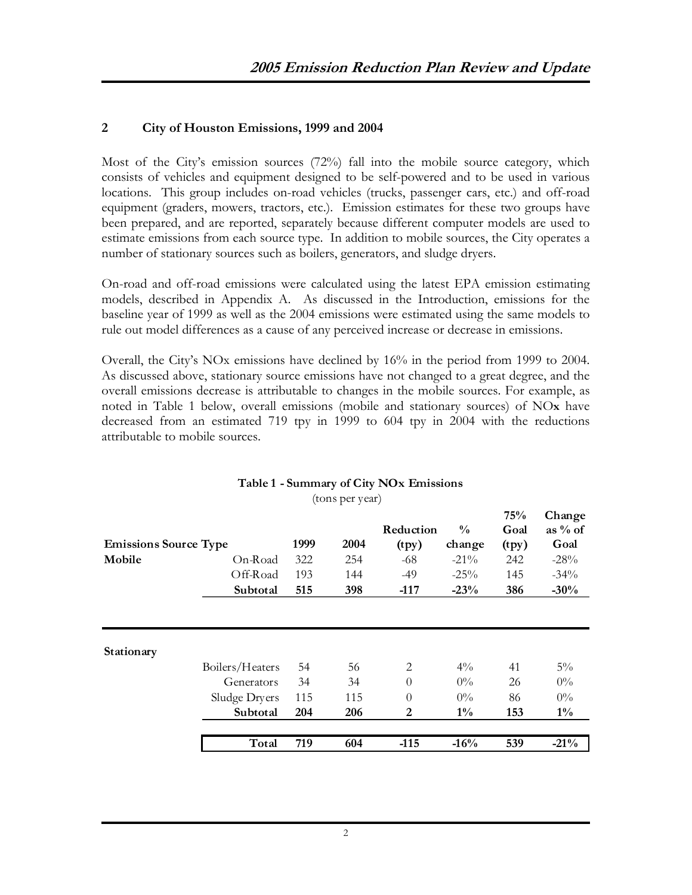# <span id="page-7-0"></span>**2 City of Houston Emissions, 1999 and 2004**

Most of the City's emission sources (72%) fall into the mobile source category, which consists of vehicles and equipment designed to be self-powered and to be used in various locations. This group includes on-road vehicles (trucks, passenger cars, etc.) and off-road equipment (graders, mowers, tractors, etc.). Emission estimates for these two groups have been prepared, and are reported, separately because different computer models are used to estimate emissions from each source type. In addition to mobile sources, the City operates a number of stationary sources such as boilers, generators, and sludge dryers.

On-road and off-road emissions were calculated using the latest EPA emission estimating models, described in Appendix A. As discussed in the Introduction, emissions for the baseline year of 1999 as well as the 2004 emissions were estimated using the same models to rule out model differences as a cause of any perceived increase or decrease in emissions.

Overall, the City's NOx emissions have declined by 16% in the period from 1999 to 2004. As discussed above, stationary source emissions have not changed to a great degree, and the overall emissions decrease is attributable to changes in the mobile sources. For example, as noted in Table 1 below, overall emissions (mobile and stationary sources) of NO**x** have decreased from an estimated 719 tpy in 1999 to 604 tpy in 2004 with the reductions attributable to mobile sources.

|                              |                 |      |      |           |               | 75%   | Change    |
|------------------------------|-----------------|------|------|-----------|---------------|-------|-----------|
|                              |                 |      |      | Reduction | $\frac{0}{0}$ | Goal  | as $%$ of |
| <b>Emissions Source Type</b> |                 | 1999 | 2004 | (tpy)     | change        | (tpy) | Goal      |
| Mobile                       | On-Road         | 322  | 254  | $-68$     | $-21\%$       | 242   | $-28%$    |
|                              | Off-Road        | 193  | 144  | $-49$     | $-25%$        | 145   | $-34\%$   |
|                              | Subtotal        | 515  | 398  | $-117$    | $-23%$        | 386   | $-30%$    |
|                              |                 |      |      |           |               |       |           |
| Stationary                   |                 |      |      |           |               |       |           |
|                              | Boilers/Heaters | 54   | 56   | 2         | $4\%$         | 41    | $5\%$     |
|                              | Generators      | 34   | 34   | $\theta$  | $0\%$         | 26    | $0\%$     |
|                              | Sludge Dryers   | 115  | 115  | $\Omega$  | $0\%$         | 86    | $0\%$     |
|                              | Subtotal        | 204  | 206  | 2         | $1\%$         | 153   | $1\%$     |
|                              |                 |      |      |           |               |       |           |

# **Table 1 - Summary of City NOx Emissions**

(tons per year)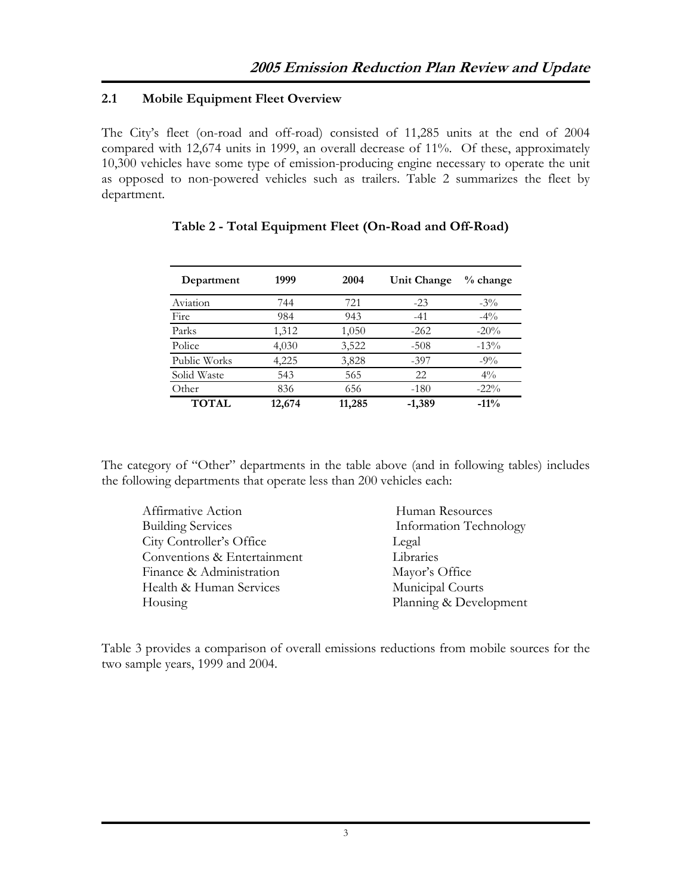# <span id="page-8-0"></span>**2.1 Mobile Equipment Fleet Overview**

The City's fleet (on-road and off-road) consisted of 11,285 units at the end of 2004 compared with 12,674 units in 1999, an overall decrease of 11%. Of these, approximately 10,300 vehicles have some type of emission-producing engine necessary to operate the unit as opposed to non-powered vehicles such as trailers. Table 2 summarizes the fleet by department.

| Department   | 1999   | 2004   | Unit Change | % change |
|--------------|--------|--------|-------------|----------|
| Aviation     | 744    | 721    | $-23$       | $-3\%$   |
| Fire         | 984    | 943    | $-41$       | $-4\%$   |
| Parks        | 1,312  | 1,050  | $-262$      | $-20%$   |
| Police       | 4,030  | 3,522  | $-508$      | $-13%$   |
| Public Works | 4,225  | 3,828  | $-397$      | $-9\%$   |
| Solid Waste  | 543    | 565    | 22          | $4\%$    |
| Other        | 836    | 656    | $-180$      | $-22\%$  |
| <b>TOTAL</b> | 12,674 | 11,285 | $-1,389$    | $-11\%$  |

# **Table 2 - Total Equipment Fleet (On-Road and Off-Road)**

The category of "Other" departments in the table above (and in following tables) includes the following departments that operate less than 200 vehicles each:

| Human Resources               |
|-------------------------------|
| <b>Information Technology</b> |
| Legal                         |
| Libraries                     |
| Mayor's Office                |
| Municipal Courts              |
| Planning & Development        |
|                               |

Table 3 provides a comparison of overall emissions reductions from mobile sources for the two sample years, 1999 and 2004.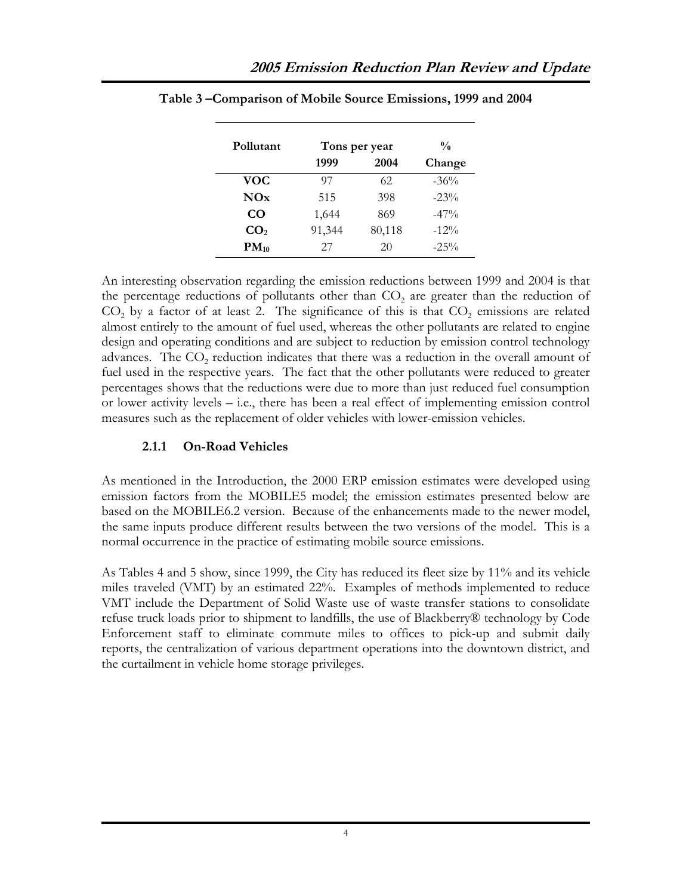| Pollutant       | Tons per year | $\frac{0}{0}$ |          |
|-----------------|---------------|---------------|----------|
|                 | 1999          | 2004          | Change   |
| <b>VOC</b>      | 97            | 62            | $-36\%$  |
| NOx             | 515           | 398           | $-23\%$  |
| <b>CO</b>       | 1,644         | 869           | $-47\%$  |
| CO <sub>2</sub> | 91,344        | 80,118        | $-12\%$  |
| $PM_{10}$       | 27            | 20            | $-2.5\%$ |

<span id="page-9-0"></span>**Table 3 –Comparison of Mobile Source Emissions, 1999 and 2004** 

An interesting observation regarding the emission reductions between 1999 and 2004 is that the percentage reductions of pollutants other than  $CO<sub>2</sub>$  are greater than the reduction of  $CO<sub>2</sub>$  by a factor of at least 2. The significance of this is that  $CO<sub>2</sub>$  emissions are related almost entirely to the amount of fuel used, whereas the other pollutants are related to engine design and operating conditions and are subject to reduction by emission control technology advances. The  $CO<sub>2</sub>$  reduction indicates that there was a reduction in the overall amount of fuel used in the respective years. The fact that the other pollutants were reduced to greater percentages shows that the reductions were due to more than just reduced fuel consumption or lower activity levels – i.e., there has been a real effect of implementing emission control measures such as the replacement of older vehicles with lower-emission vehicles.

# **2.1.1 On-Road Vehicles**

As mentioned in the Introduction, the 2000 ERP emission estimates were developed using emission factors from the MOBILE5 model; the emission estimates presented below are based on the MOBILE6.2 version. Because of the enhancements made to the newer model, the same inputs produce different results between the two versions of the model. This is a normal occurrence in the practice of estimating mobile source emissions.

As Tables 4 and 5 show, since 1999, the City has reduced its fleet size by 11% and its vehicle miles traveled (VMT) by an estimated 22%. Examples of methods implemented to reduce VMT include the Department of Solid Waste use of waste transfer stations to consolidate refuse truck loads prior to shipment to landfills, the use of Blackberry® technology by Code Enforcement staff to eliminate commute miles to offices to pick-up and submit daily reports, the centralization of various department operations into the downtown district, and the curtailment in vehicle home storage privileges.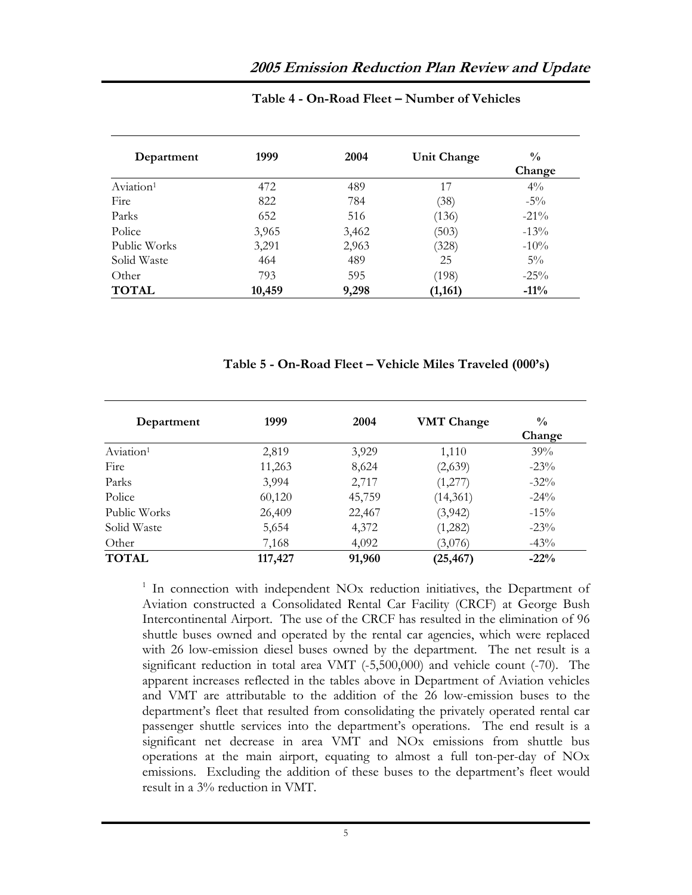| Department            | 1999   | 2004  | Unit Change | $\frac{0}{0}$<br>Change |
|-----------------------|--------|-------|-------------|-------------------------|
| Aviation <sup>1</sup> | 472    | 489   | 17          | $4\%$                   |
| Fire                  | 822    | 784   | (38)        | $-5\%$                  |
| Parks                 | 652    | 516   | (136)       | $-21\%$                 |
| Police                | 3,965  | 3,462 | (503)       | $-13\%$                 |
| Public Works          | 3,291  | 2,963 | (328)       | $-10\%$                 |
| Solid Waste           | 464    | 489   | 25          | $5\%$                   |
| Other                 | 793    | 595   | (198)       | $-25\%$                 |
| <b>TOTAL</b>          | 10,459 | 9,298 | (1,161)     | $-11\%$                 |

#### **Table 4 - On-Road Fleet – Number of Vehicles**

**Table 5 - On-Road Fleet – Vehicle Miles Traveled (000's)**

| Department            | 1999    | 2004   | <b>VMT Change</b> | $\frac{0}{0}$<br>Change |
|-----------------------|---------|--------|-------------------|-------------------------|
| Aviation <sup>1</sup> | 2,819   | 3,929  | 1,110             | $39\%$                  |
| Fire                  | 11,263  | 8,624  | (2,639)           | $-23\%$                 |
| Parks                 | 3,994   | 2,717  | (1,277)           | $-32\%$                 |
| Police                | 60,120  | 45,759 | (14, 361)         | $-24\%$                 |
| Public Works          | 26,409  | 22,467 | (3,942)           | $-15%$                  |
| Solid Waste           | 5,654   | 4,372  | (1,282)           | $-23%$                  |
| Other                 | 7,168   | 4,092  | (3,076)           | $-43%$                  |
| <b>TOTAL</b>          | 117,427 | 91,960 | (25, 467)         | $-22\%$                 |

<sup>1</sup> In connection with independent NO<sub>x</sub> reduction initiatives, the Department of Aviation constructed a Consolidated Rental Car Facility (CRCF) at George Bush Intercontinental Airport. The use of the CRCF has resulted in the elimination of 96 shuttle buses owned and operated by the rental car agencies, which were replaced with 26 low-emission diesel buses owned by the department. The net result is a significant reduction in total area VMT (-5,500,000) and vehicle count (-70). The apparent increases reflected in the tables above in Department of Aviation vehicles and VMT are attributable to the addition of the 26 low-emission buses to the department's fleet that resulted from consolidating the privately operated rental car passenger shuttle services into the department's operations. The end result is a significant net decrease in area VMT and NOx emissions from shuttle bus operations at the main airport, equating to almost a full ton-per-day of NOx emissions. Excluding the addition of these buses to the department's fleet would result in a 3% reduction in VMT.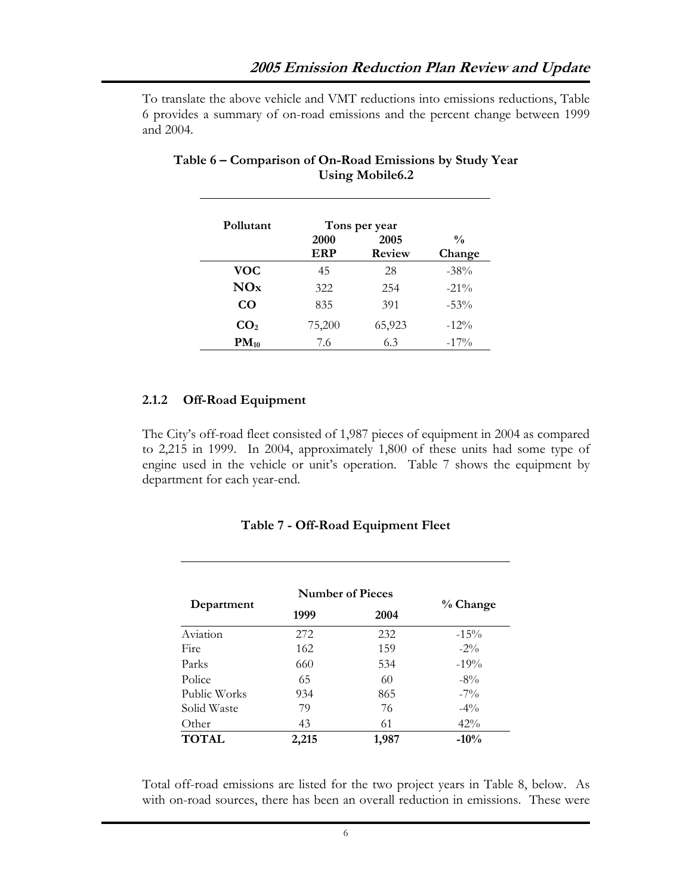<span id="page-11-0"></span>To translate the above vehicle and VMT reductions into emissions reductions, Table 6 provides a summary of on-road emissions and the percent change between 1999 and 2004.

| Pollutant       |        | Tons per year |               |
|-----------------|--------|---------------|---------------|
|                 | 2000   | 2005          | $\frac{0}{0}$ |
|                 | ERP    | Review        | Change        |
| <b>VOC</b>      | 45     | 28            | $-38\%$       |
| <b>NOx</b>      | 322    | 254           | $-21\%$       |
| CO              | 835    | 391           | $-53\%$       |
| CO <sub>2</sub> | 75,200 | 65,923        | $-12\%$       |
| $PM_{10}$       | 7.6    | 6.3           | $-17\%$       |

# **Table 6 – Comparison of On-Road Emissions by Study Year Using Mobile6.2**

# **2.1.2 Off-Road Equipment**

The City's off-road fleet consisted of 1,987 pieces of equipment in 2004 as compared to 2,215 in 1999. In 2004, approximately 1,800 of these units had some type of engine used in the vehicle or unit's operation. Table 7 shows the equipment by department for each year-end.

# **Number of Pieces Department 1999 <sup>2004</sup> % Change**  Aviation 272 232 -15% Fire  $162$   $159$   $-2\%$ Parks 660 534 -19% Police 65 60  $-8\%$ Public Works 934 865 -7% Solid Waste 79 76 -4% Other 43 61 42% **TOTAL 2,215 1,987 -10%**

# **Table 7 - Off-Road Equipment Fleet**

Total off-road emissions are listed for the two project years in Table 8, below. As with on-road sources, there has been an overall reduction in emissions. These were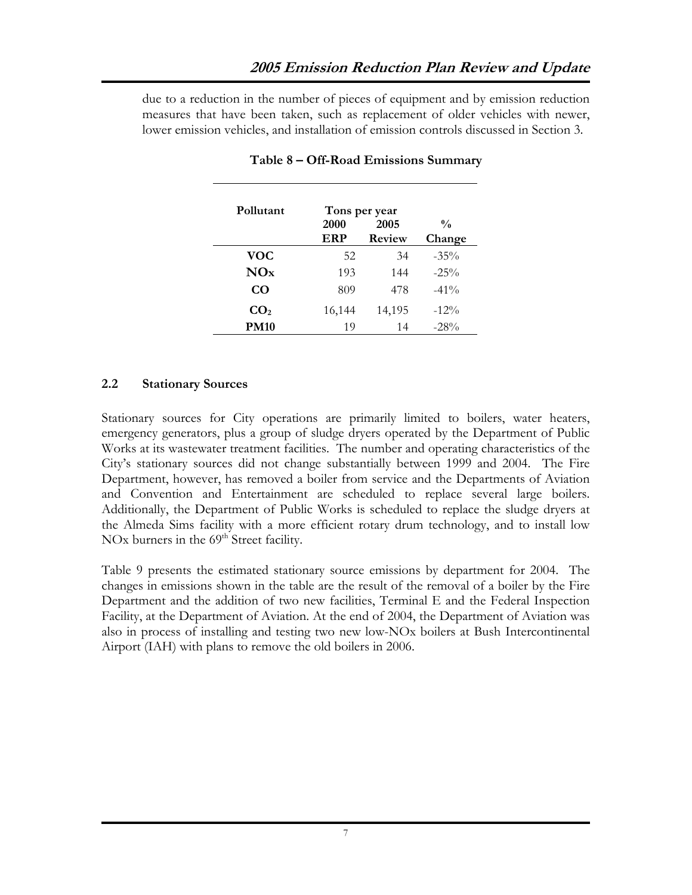<span id="page-12-0"></span>due to a reduction in the number of pieces of equipment and by emission reduction measures that have been taken, such as replacement of older vehicles with newer, lower emission vehicles, and installation of emission controls discussed in Section 3.

| Pollutant       | Tons per year |        |               |
|-----------------|---------------|--------|---------------|
|                 | 2000          | 2005   | $\frac{0}{0}$ |
|                 | <b>ERP</b>    | Review | Change        |
| VOC             | 52            | 34     | $-35\%$       |
| NOx             | 193           | 144    | $-25\%$       |
| CO              | 809           | 478    | $-41\%$       |
| CO <sub>2</sub> | 16,144        | 14,195 | $-12\%$       |
| <b>PM10</b>     | 19            | 14     | $-28\%$       |

**Table 8 – Off-Road Emissions Summary** 

# **2.2 Stationary Sources**

Stationary sources for City operations are primarily limited to boilers, water heaters, emergency generators, plus a group of sludge dryers operated by the Department of Public Works at its wastewater treatment facilities. The number and operating characteristics of the City's stationary sources did not change substantially between 1999 and 2004. The Fire Department, however, has removed a boiler from service and the Departments of Aviation and Convention and Entertainment are scheduled to replace several large boilers. Additionally, the Department of Public Works is scheduled to replace the sludge dryers at the Almeda Sims facility with a more efficient rotary drum technology, and to install low NOx burners in the  $69<sup>th</sup>$  Street facility.

Table 9 presents the estimated stationary source emissions by department for 2004. The changes in emissions shown in the table are the result of the removal of a boiler by the Fire Department and the addition of two new facilities, Terminal E and the Federal Inspection Facility, at the Department of Aviation. At the end of 2004, the Department of Aviation was also in process of installing and testing two new low-NOx boilers at Bush Intercontinental Airport (IAH) with plans to remove the old boilers in 2006.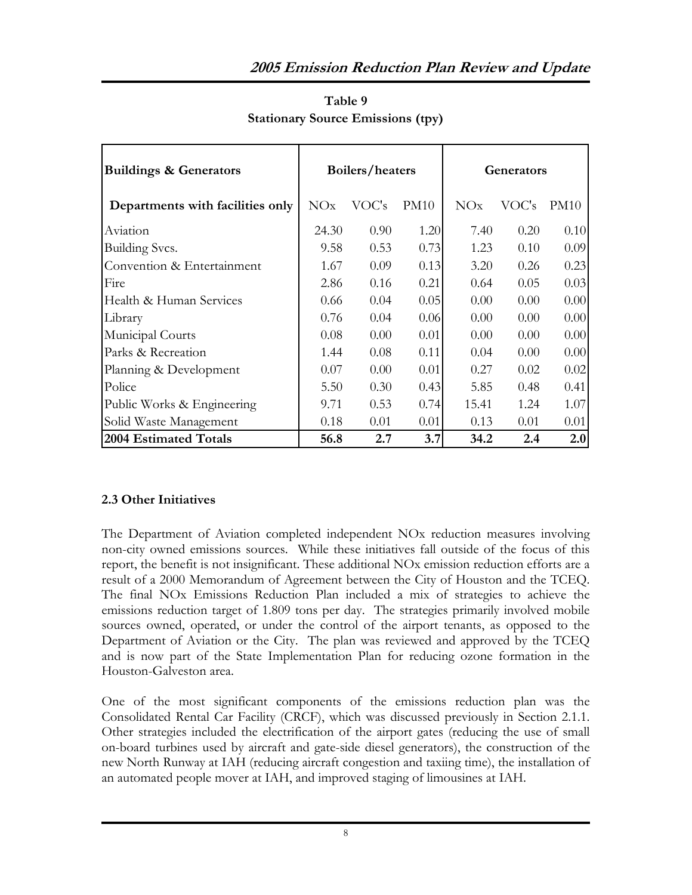<span id="page-13-0"></span>

| <b>Buildings &amp; Generators</b> | Boilers/heaters |       |      |       |       |             | Generators |  |
|-----------------------------------|-----------------|-------|------|-------|-------|-------------|------------|--|
| Departments with facilities only  | NOx             | VOC's | PM10 | NOx   | VOC's | <b>PM10</b> |            |  |
| Aviation                          | 24.30           | 0.90  | 1.20 | 7.40  | 0.20  | 0.10        |            |  |
| Building Svcs.                    | 9.58            | 0.53  | 0.73 | 1.23  | 0.10  | 0.09        |            |  |
| Convention & Entertainment        | 1.67            | 0.09  | 0.13 | 3.20  | 0.26  | 0.23        |            |  |
| Fire                              | 2.86            | 0.16  | 0.21 | 0.64  | 0.05  | 0.03        |            |  |
| Health & Human Services           | 0.66            | 0.04  | 0.05 | 0.00  | 0.00  | 0.00        |            |  |
| Library                           | 0.76            | 0.04  | 0.06 | 0.00  | 0.00  | 0.00        |            |  |
| Municipal Courts                  | 0.08            | 0.00  | 0.01 | 0.00  | 0.00  | 0.00        |            |  |
| Parks & Recreation                | 1.44            | 0.08  | 0.11 | 0.04  | 0.00  | 0.00        |            |  |
| Planning & Development            | 0.07            | 0.00  | 0.01 | 0.27  | 0.02  | 0.02        |            |  |
| Police                            | 5.50            | 0.30  | 0.43 | 5.85  | 0.48  | 0.41        |            |  |
| Public Works & Engineering        | 9.71            | 0.53  | 0.74 | 15.41 | 1.24  | 1.07        |            |  |
| Solid Waste Management            | 0.18            | 0.01  | 0.01 | 0.13  | 0.01  | 0.01        |            |  |
| 2004 Estimated Totals             | 56.8            | 2.7   | 3.7  | 34.2  | 2.4   | 2.0         |            |  |

**Table 9 Stationary Source Emissions (tpy)**

# **2.3 Other Initiatives**

The Department of Aviation completed independent NOx reduction measures involving non-city owned emissions sources. While these initiatives fall outside of the focus of this report, the benefit is not insignificant. These additional NOx emission reduction efforts are a result of a 2000 Memorandum of Agreement between the City of Houston and the TCEQ. The final NOx Emissions Reduction Plan included a mix of strategies to achieve the emissions reduction target of 1.809 tons per day. The strategies primarily involved mobile sources owned, operated, or under the control of the airport tenants, as opposed to the Department of Aviation or the City. The plan was reviewed and approved by the TCEQ and is now part of the State Implementation Plan for reducing ozone formation in the Houston-Galveston area.

One of the most significant components of the emissions reduction plan was the Consolidated Rental Car Facility (CRCF), which was discussed previously in Section 2.1.1. Other strategies included the electrification of the airport gates (reducing the use of small on-board turbines used by aircraft and gate-side diesel generators), the construction of the new North Runway at IAH (reducing aircraft congestion and taxiing time), the installation of an automated people mover at IAH, and improved staging of limousines at IAH.

8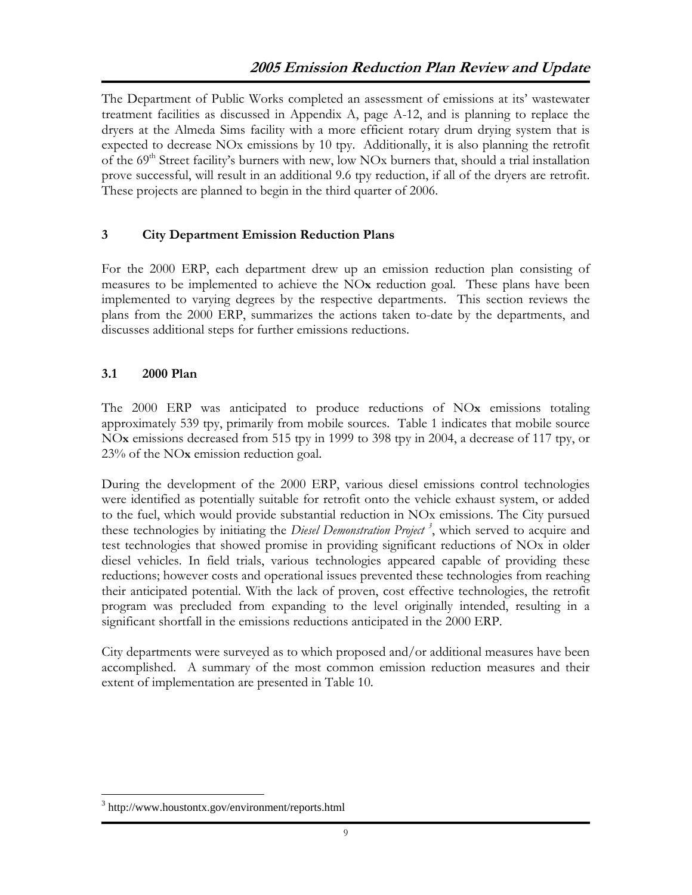<span id="page-14-0"></span>The Department of Public Works completed an assessment of emissions at its' wastewater treatment facilities as discussed in Appendix A, page A-12, and is planning to replace the dryers at the Almeda Sims facility with a more efficient rotary drum drying system that is expected to decrease NOx emissions by 10 tpy. Additionally, it is also planning the retrofit of the 69<sup>th</sup> Street facility's burners with new, low NOx burners that, should a trial installation prove successful, will result in an additional 9.6 tpy reduction, if all of the dryers are retrofit. These projects are planned to begin in the third quarter of 2006.

# **3 City Department Emission Reduction Plans**

For the 2000 ERP, each department drew up an emission reduction plan consisting of measures to be implemented to achieve the NO**x** reduction goal. These plans have been implemented to varying degrees by the respective departments. This section reviews the plans from the 2000 ERP, summarizes the actions taken to-date by the departments, and discusses additional steps for further emissions reductions.

# **3.1 2000 Plan**

The 2000 ERP was anticipated to produce reductions of NO**x** emissions totaling approximately 539 tpy, primarily from mobile sources. Table 1 indicates that mobile source NO**x** emissions decreased from 515 tpy in 1999 to 398 tpy in 2004, a decrease of 117 tpy, or 23% of the NO**x** emission reduction goal.

During the development of the 2000 ERP, various diesel emissions control technologies were identified as potentially suitable for retrofit onto the vehicle exhaust system, or added to the fuel, which would provide substantial reduction in NOx emissions. The City pursued these technologies by initiating the *Diesel Demonstration Project [3](#page-14-1)* , which served to acquire and test technologies that showed promise in providing significant reductions of NOx in older diesel vehicles. In field trials, various technologies appeared capable of providing these reductions; however costs and operational issues prevented these technologies from reaching their anticipated potential. With the lack of proven, cost effective technologies, the retrofit program was precluded from expanding to the level originally intended, resulting in a significant shortfall in the emissions reductions anticipated in the 2000 ERP.

City departments were surveyed as to which proposed and/or additional measures have been accomplished. A summary of the most common emission reduction measures and their extent of implementation are presented in Table 10.

<u>.</u>

<span id="page-14-1"></span><sup>3</sup> http://www.houstontx.gov/environment/reports.html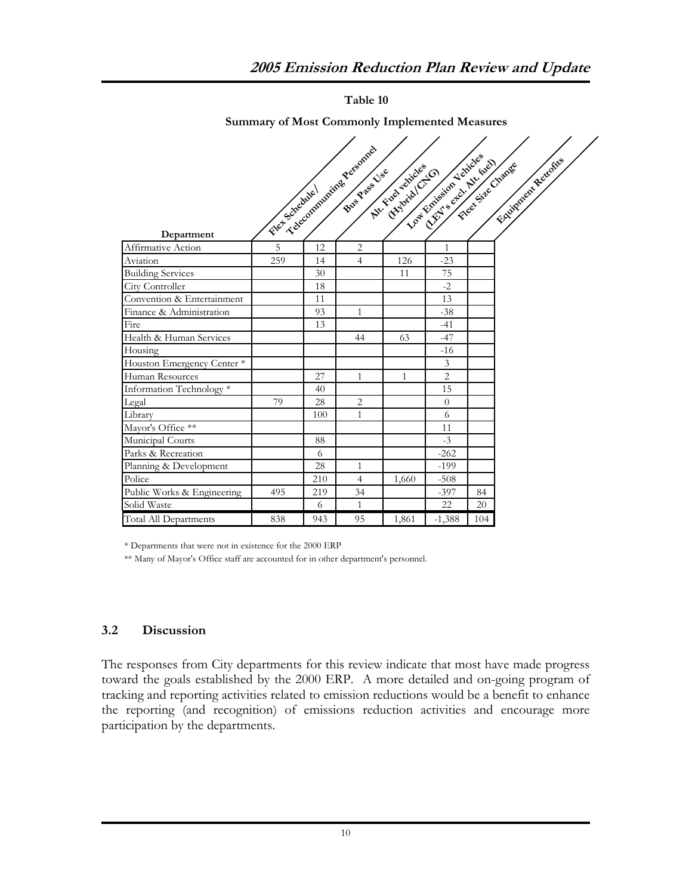#### **Table 10**

<span id="page-15-0"></span>

|                              |                |     | Telecontmunities Personnel | Nt. Fuer anides   | Low England Poinces<br><b>CENTS OF DEPARTMENT</b> | Earnwork Revenue<br>Free Site Change |
|------------------------------|----------------|-----|----------------------------|-------------------|---------------------------------------------------|--------------------------------------|
|                              |                |     | Bue Pass Lise              | Established Creek |                                                   |                                      |
|                              |                |     |                            |                   |                                                   |                                      |
|                              |                |     |                            |                   |                                                   |                                      |
|                              | Flex Schedule/ |     |                            |                   |                                                   |                                      |
| Department                   |                |     |                            |                   |                                                   |                                      |
| Affirmative Action           | 5              | 12  | $\overline{2}$             |                   | $\mathbf{1}$                                      |                                      |
| Aviation                     | 259            | 14  | $\overline{4}$             | 126               | $-23$                                             |                                      |
| <b>Building Services</b>     |                | 30  |                            | 11                | 75                                                |                                      |
| City Controller              |                | 18  |                            |                   | $-2$                                              |                                      |
| Convention & Entertainment   |                | 11  |                            |                   | 13                                                |                                      |
| Finance & Administration     |                | 93  | $\mathbf{1}$               |                   | $-38$                                             |                                      |
| Fire                         |                | 13  |                            |                   | $-41$                                             |                                      |
| Health & Human Services      |                |     | 44                         | 63                | $-47$                                             |                                      |
| Housing                      |                |     |                            |                   | $-16$                                             |                                      |
| Houston Emergency Center *   |                |     |                            |                   | $\overline{3}$                                    |                                      |
| Human Resources              |                | 27  | 1                          | $\mathbf{1}$      | $\mathbf{2}$                                      |                                      |
| Information Technology *     |                | 40  |                            |                   | 15                                                |                                      |
| Legal                        | 79             | 28  | $\overline{c}$             |                   | $\theta$                                          |                                      |
| Library                      |                | 100 | $\mathbf{1}$               |                   | 6                                                 |                                      |
| Mayor's Office **            |                |     |                            |                   | 11                                                |                                      |
| Municipal Courts             |                | 88  |                            |                   | $-3$                                              |                                      |
| Parks & Recreation           |                | 6   |                            |                   | $-262$                                            |                                      |
| Planning & Development       |                | 28  | 1                          |                   | $-199$                                            |                                      |
| Police                       |                | 210 | $\overline{4}$             | 1,660             | $-508$                                            |                                      |
| Public Works & Engineering   | 495            | 219 | 34                         |                   | $-397$                                            | 84                                   |
| Solid Waste                  |                | 6   | $\mathbf{1}$               |                   | 22                                                | 20                                   |
| <b>Total All Departments</b> | 838            | 943 | 95                         | 1,861             | $-1,388$                                          | 104                                  |

**Summary of Most Commonly Implemented Measures**

\* Departments that were not in existence for the 2000 ERP

\*\* Many of Mayor's Office staff are accounted for in other department's personnel.

#### **3.2 Discussion**

The responses from City departments for this review indicate that most have made progress toward the goals established by the 2000 ERP. A more detailed and on-going program of tracking and reporting activities related to emission reductions would be a benefit to enhance the reporting (and recognition) of emissions reduction activities and encourage more participation by the departments.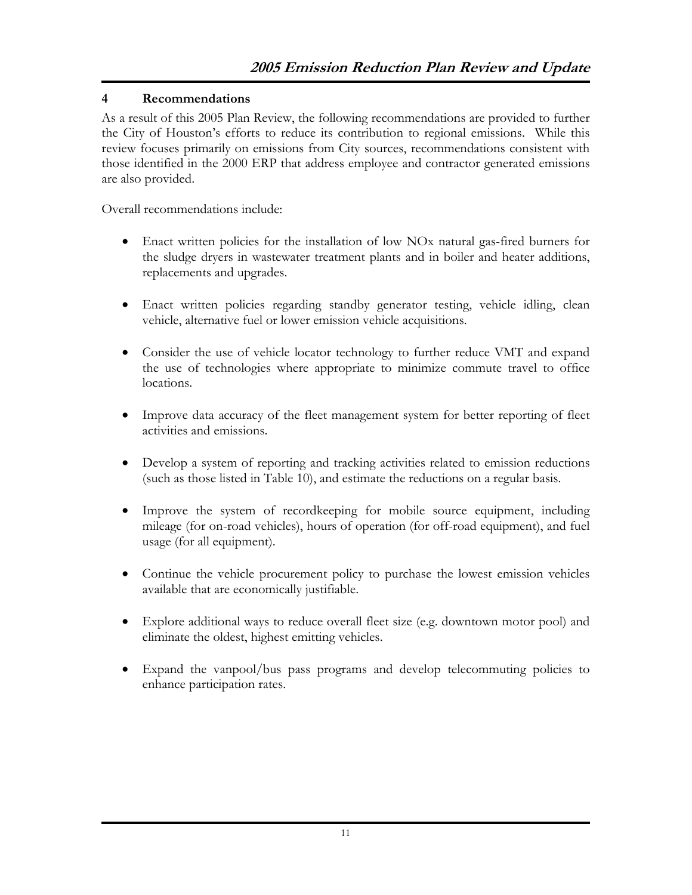# <span id="page-16-0"></span>**4 Recommendations**

As a result of this 2005 Plan Review, the following recommendations are provided to further the City of Houston's efforts to reduce its contribution to regional emissions. While this review focuses primarily on emissions from City sources, recommendations consistent with those identified in the 2000 ERP that address employee and contractor generated emissions are also provided.

Overall recommendations include:

- Enact written policies for the installation of low NOx natural gas-fired burners for the sludge dryers in wastewater treatment plants and in boiler and heater additions, replacements and upgrades.
- Enact written policies regarding standby generator testing, vehicle idling, clean vehicle, alternative fuel or lower emission vehicle acquisitions.
- Consider the use of vehicle locator technology to further reduce VMT and expand the use of technologies where appropriate to minimize commute travel to office locations.
- Improve data accuracy of the fleet management system for better reporting of fleet activities and emissions.
- Develop a system of reporting and tracking activities related to emission reductions (such as those listed in Table 10), and estimate the reductions on a regular basis.
- Improve the system of recordkeeping for mobile source equipment, including mileage (for on-road vehicles), hours of operation (for off-road equipment), and fuel usage (for all equipment).
- Continue the vehicle procurement policy to purchase the lowest emission vehicles available that are economically justifiable.
- Explore additional ways to reduce overall fleet size (e.g. downtown motor pool) and eliminate the oldest, highest emitting vehicles.
- Expand the vanpool/bus pass programs and develop telecommuting policies to enhance participation rates.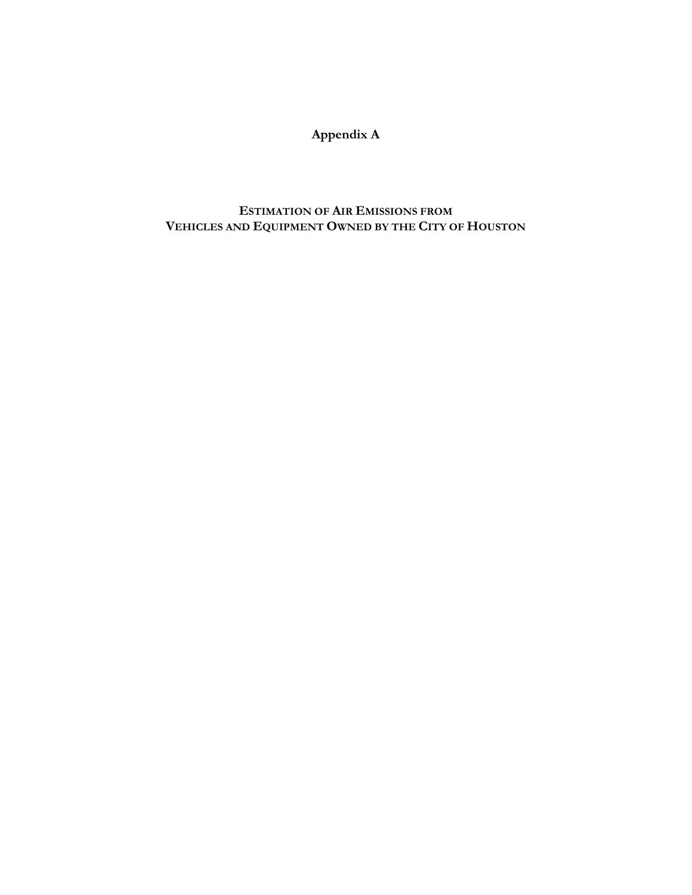# **Appendix A**

# **ESTIMATION OF AIR EMISSIONS FROM VEHICLES AND EQUIPMENT OWNED BY THE CITY OF HOUSTON**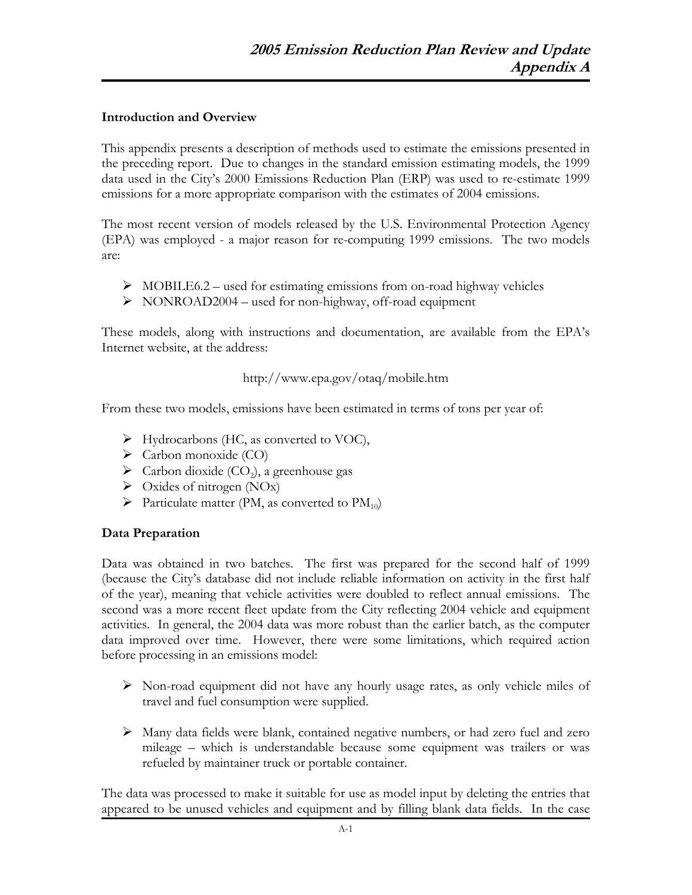# **Introduction and Overview**

This appendix presents a description of methods used to estimate the emissions presented in the preceding report. Due to changes in the standard emission estimating models, the 1999 data used in the City's 2000 Emissions Reduction Plan (ERP) was used to re-estimate 1999 emissions for a more appropriate comparison with the estimates of 2004 emissions.

The most recent version of models released by the U.S. Environmental Protection Agency (EPA) was employed - a major reason for re-computing 1999 emissions. The two models are:

- $\triangleright$  MOBILE6.2 used for estimating emissions from on-road highway vehicles
- ¾ NONROAD2004 used for non-highway, off-road equipment

These models, along with instructions and documentation, are available from the EPA's Internet website, at the address:

http://www.epa.gov/otaq/mobile.htm

From these two models, emissions have been estimated in terms of tons per year of:

- $\triangleright$  Hydrocarbons (HC, as converted to VOC),
- $\triangleright$  Carbon monoxide (CO)
- $\triangleright$  Carbon dioxide (CO<sub>2</sub>), a greenhouse gas
- $\triangleright$  Oxides of nitrogen (NOx)
- $\triangleright$  Particulate matter (PM, as converted to PM<sub>10</sub>)

# **Data Preparation**

Data was obtained in two batches. The first was prepared for the second half of 1999 (because the City's database did not include reliable information on activity in the first half of the year), meaning that vehicle activities were doubled to reflect annual emissions. The second was a more recent fleet update from the City reflecting 2004 vehicle and equipment activities. In general, the 2004 data was more robust than the earlier batch, as the computer data improved over time. However, there were some limitations, which required action before processing in an emissions model:

- $\triangleright$  Non-road equipment did not have any hourly usage rates, as only vehicle miles of travel and fuel consumption were supplied.
- $\triangleright$  Many data fields were blank, contained negative numbers, or had zero fuel and zero mileage – which is understandable because some equipment was trailers or was refueled by maintainer truck or portable container.

The data was processed to make it suitable for use as model input by deleting the entries that appeared to be unused vehicles and equipment and by filling blank data fields. In the case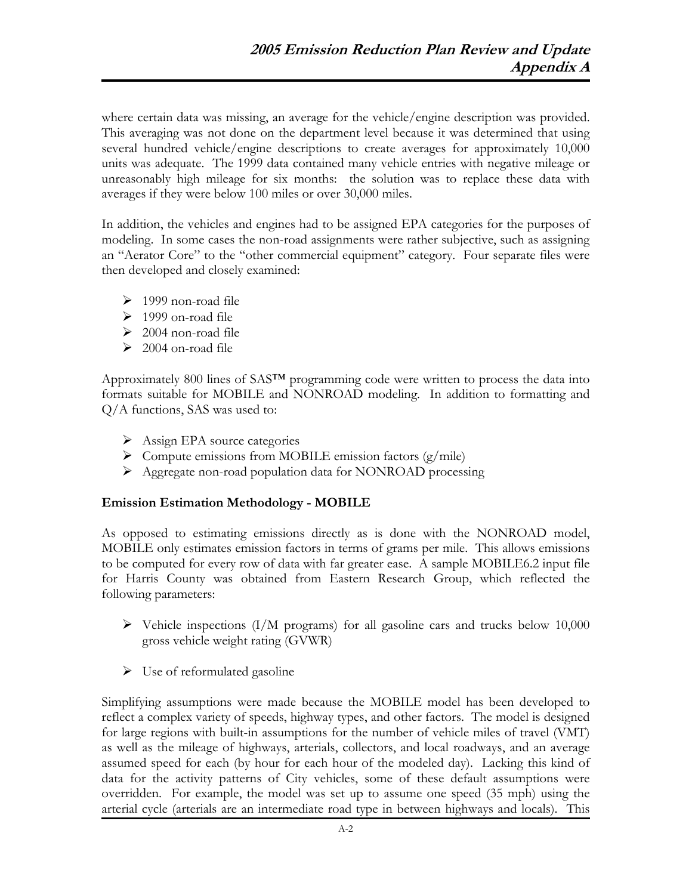where certain data was missing, an average for the vehicle/engine description was provided. This averaging was not done on the department level because it was determined that using several hundred vehicle/engine descriptions to create averages for approximately 10,000 units was adequate. The 1999 data contained many vehicle entries with negative mileage or unreasonably high mileage for six months: the solution was to replace these data with averages if they were below 100 miles or over 30,000 miles.

In addition, the vehicles and engines had to be assigned EPA categories for the purposes of modeling. In some cases the non-road assignments were rather subjective, such as assigning an "Aerator Core" to the "other commercial equipment" category. Four separate files were then developed and closely examined:

- $\geq 1999$  non-road file
- ¾ 1999 on-road file
- $\geq 2004$  non-road file
- ¾ 2004 on-road file

Approximately 800 lines of SAS™ programming code were written to process the data into formats suitable for MOBILE and NONROAD modeling. In addition to formatting and Q/A functions, SAS was used to:

- $\triangleright$  Assign EPA source categories
- $\triangleright$  Compute emissions from MOBILE emission factors (g/mile)
- ¾ Aggregate non-road population data for NONROAD processing

# **Emission Estimation Methodology - MOBILE**

As opposed to estimating emissions directly as is done with the NONROAD model, MOBILE only estimates emission factors in terms of grams per mile. This allows emissions to be computed for every row of data with far greater ease. A sample MOBILE6.2 input file for Harris County was obtained from Eastern Research Group, which reflected the following parameters:

- $\triangleright$  Vehicle inspections (I/M programs) for all gasoline cars and trucks below 10,000 gross vehicle weight rating (GVWR)
- $\triangleright$  Use of reformulated gasoline

Simplifying assumptions were made because the MOBILE model has been developed to reflect a complex variety of speeds, highway types, and other factors. The model is designed for large regions with built-in assumptions for the number of vehicle miles of travel (VMT) as well as the mileage of highways, arterials, collectors, and local roadways, and an average assumed speed for each (by hour for each hour of the modeled day). Lacking this kind of data for the activity patterns of City vehicles, some of these default assumptions were overridden. For example, the model was set up to assume one speed (35 mph) using the arterial cycle (arterials are an intermediate road type in between highways and locals). This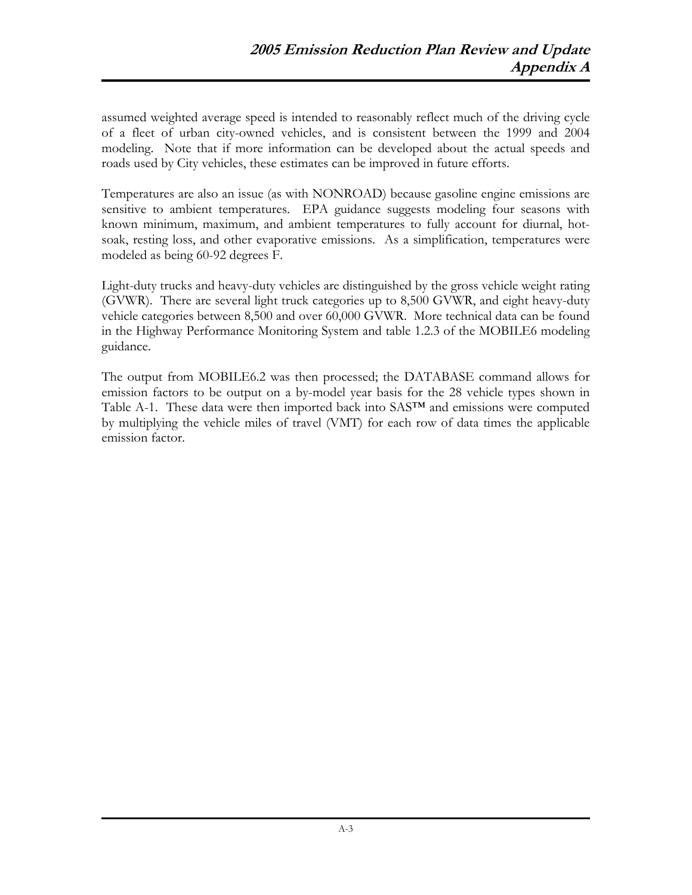assumed weighted average speed is intended to reasonably reflect much of the driving cycle of a fleet of urban city-owned vehicles, and is consistent between the 1999 and 2004 modeling. Note that if more information can be developed about the actual speeds and roads used by City vehicles, these estimates can be improved in future efforts.

Temperatures are also an issue (as with NONROAD) because gasoline engine emissions are sensitive to ambient temperatures. EPA guidance suggests modeling four seasons with known minimum, maximum, and ambient temperatures to fully account for diurnal, hotsoak, resting loss, and other evaporative emissions. As a simplification, temperatures were modeled as being 60-92 degrees F.

Light-duty trucks and heavy-duty vehicles are distinguished by the gross vehicle weight rating (GVWR). There are several light truck categories up to 8,500 GVWR, and eight heavy-duty vehicle categories between 8,500 and over 60,000 GVWR. More technical data can be found in the Highway Performance Monitoring System and table 1.2.3 of the MOBILE6 modeling guidance.

The output from MOBILE6.2 was then processed; the DATABASE command allows for emission factors to be output on a by-model year basis for the 28 vehicle types shown in Table A-1. These data were then imported back into SAS™ and emissions were computed by multiplying the vehicle miles of travel (VMT) for each row of data times the applicable emission factor.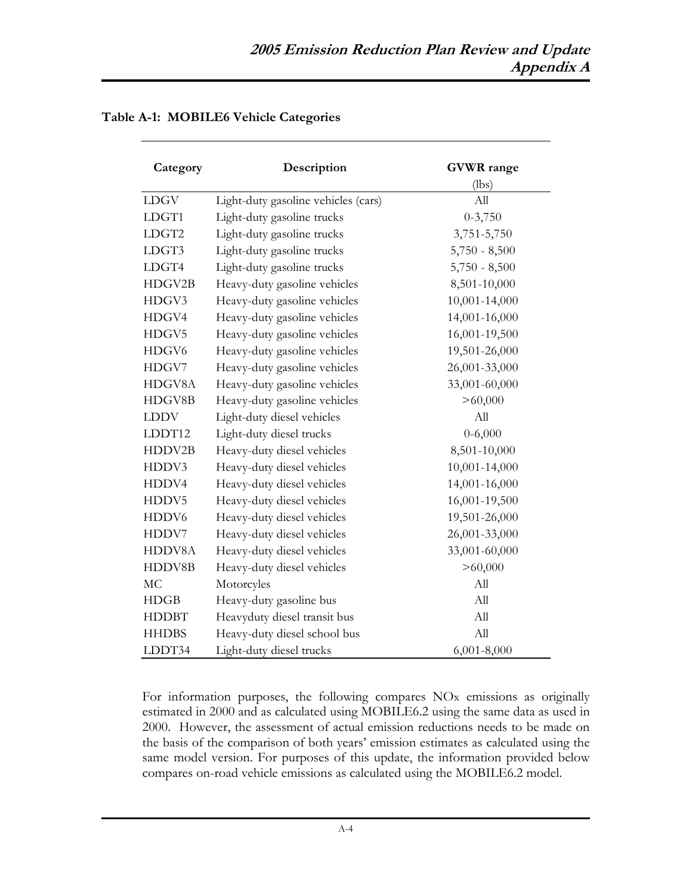| Category     | Description                         | <b>GVWR</b> range |
|--------------|-------------------------------------|-------------------|
|              |                                     | (lbs)             |
| <b>LDGV</b>  | Light-duty gasoline vehicles (cars) | All               |
| LDGT1        | Light-duty gasoline trucks          | $0 - 3,750$       |
| LDGT2        | Light-duty gasoline trucks          | 3,751-5,750       |
| LDGT3        | Light-duty gasoline trucks          | $5,750 - 8,500$   |
| LDGT4        | Light-duty gasoline trucks          | $5,750 - 8,500$   |
| HDGV2B       | Heavy-duty gasoline vehicles        | 8,501-10,000      |
| HDGV3        | Heavy-duty gasoline vehicles        | 10,001-14,000     |
| HDGV4        | Heavy-duty gasoline vehicles        | 14,001-16,000     |
| HDGV5        | Heavy-duty gasoline vehicles        | 16,001-19,500     |
| HDGV6        | Heavy-duty gasoline vehicles        | 19,501-26,000     |
| HDGV7        | Heavy-duty gasoline vehicles        | 26,001-33,000     |
| HDGV8A       | Heavy-duty gasoline vehicles        | 33,001-60,000     |
| HDGV8B       | Heavy-duty gasoline vehicles        | >60,000           |
| <b>LDDV</b>  | Light-duty diesel vehicles          | All               |
| LDDT12       | Light-duty diesel trucks            | $0 - 6,000$       |
| HDDV2B       | Heavy-duty diesel vehicles          | 8,501-10,000      |
| HDDV3        | Heavy-duty diesel vehicles          | 10,001-14,000     |
| HDDV4        | Heavy-duty diesel vehicles          | 14,001-16,000     |
| HDDV5        | Heavy-duty diesel vehicles          | 16,001-19,500     |
| HDDV6        | Heavy-duty diesel vehicles          | 19,501-26,000     |
| HDDV7        | Heavy-duty diesel vehicles          | 26,001-33,000     |
| HDDV8A       | Heavy-duty diesel vehicles          | 33,001-60,000     |
| HDDV8B       | Heavy-duty diesel vehicles          | >60,000           |
| MC           | Motorcyles                          | All               |
| <b>HDGB</b>  | Heavy-duty gasoline bus             | All               |
| <b>HDDBT</b> | Heavyduty diesel transit bus        | All               |
| <b>HHDBS</b> | Heavy-duty diesel school bus        | All               |
| LDDT34       | Light-duty diesel trucks            | $6,001-8,000$     |

# **Table A-1: MOBILE6 Vehicle Categories**

For information purposes, the following compares NOx emissions as originally estimated in 2000 and as calculated using MOBILE6.2 using the same data as used in 2000. However, the assessment of actual emission reductions needs to be made on the basis of the comparison of both years' emission estimates as calculated using the same model version. For purposes of this update, the information provided below compares on-road vehicle emissions as calculated using the MOBILE6.2 model.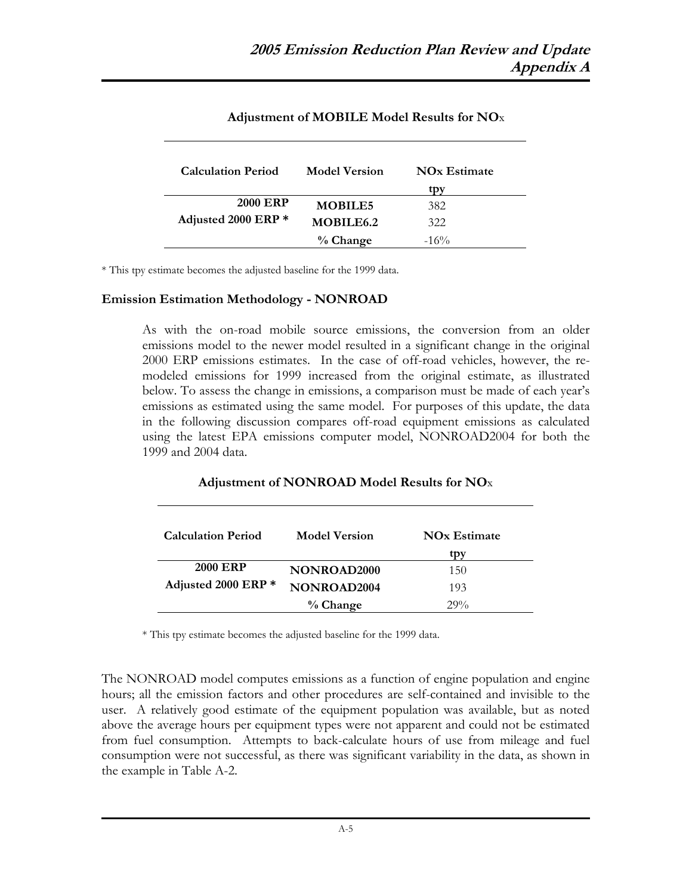| <b>Calculation Period</b> | <b>Model Version</b>  | <b>NO<sub>x</sub></b> Estimate |
|---------------------------|-----------------------|--------------------------------|
|                           |                       | tpy                            |
| <b>2000 ERP</b>           | <b>MOBILE5</b>        | 382                            |
| Adjusted 2000 ERP *       | MOBILE <sub>6.2</sub> | 322                            |
|                           | % Change              | $-16\%$                        |

#### **Adjustment of MOBILE Model Results for NO**x

\* This tpy estimate becomes the adjusted baseline for the 1999 data.

#### **Emission Estimation Methodology - NONROAD**

As with the on-road mobile source emissions, the conversion from an older emissions model to the newer model resulted in a significant change in the original 2000 ERP emissions estimates. In the case of off-road vehicles, however, the remodeled emissions for 1999 increased from the original estimate, as illustrated below. To assess the change in emissions, a comparison must be made of each year's emissions as estimated using the same model. For purposes of this update, the data in the following discussion compares off-road equipment emissions as calculated using the latest EPA emissions computer model, NONROAD2004 for both the 1999 and 2004 data.

# **Adjustment of NONROAD Model Results for NO**x

| <b>Calculation Period</b> | <b>Model Version</b> | <b>NO<sub>x</sub></b> Estimate |
|---------------------------|----------------------|--------------------------------|
|                           |                      | tpy                            |
| 2000 ERP                  | NONROAD2000          | 150                            |
| Adjusted 2000 ERP *       | NONROAD2004          | 193                            |
|                           | % Change             | $29\%$                         |

\* This tpy estimate becomes the adjusted baseline for the 1999 data.

The NONROAD model computes emissions as a function of engine population and engine hours; all the emission factors and other procedures are self-contained and invisible to the user. A relatively good estimate of the equipment population was available, but as noted above the average hours per equipment types were not apparent and could not be estimated from fuel consumption. Attempts to back-calculate hours of use from mileage and fuel consumption were not successful, as there was significant variability in the data, as shown in the example in Table A-2.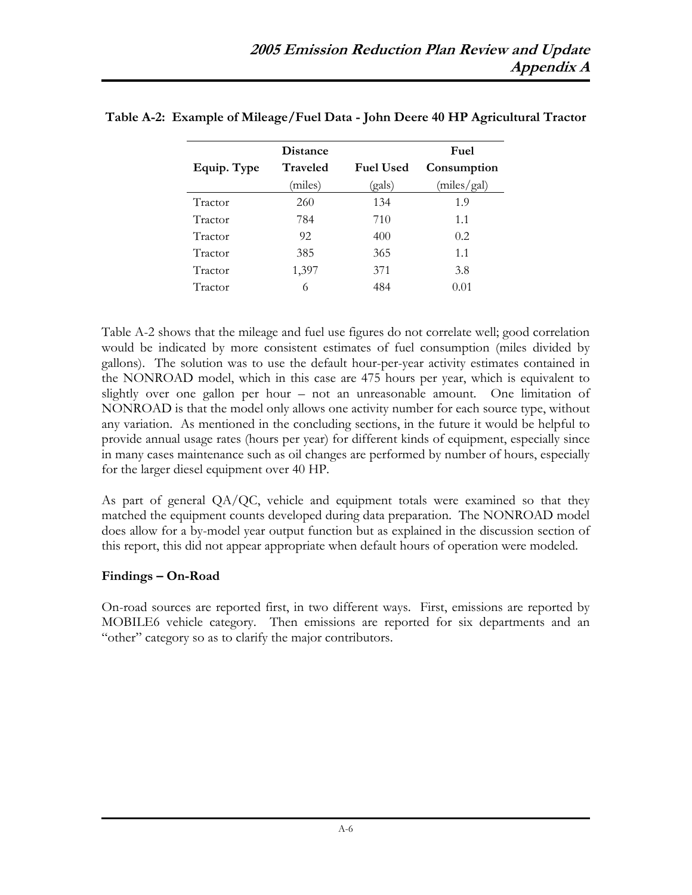|             | <b>Distance</b> |                  | Fuel        |
|-------------|-----------------|------------------|-------------|
| Equip. Type | <b>Traveled</b> | <b>Fuel Used</b> | Consumption |
|             | (miles)         | (gals)           | (miles/gal) |
| Tractor     | 260             | 134              | 1.9         |
| Tractor     | 784             | 710              | 1.1         |
| Tractor     | 92              | 400              | 0.2         |
| Tractor     | 385             | 365              | 1.1         |
| Tractor     | 1,397           | 371              | 3.8         |
| Tractor     | 6               | 484              | 0.01        |

#### **Table A-2: Example of Mileage/Fuel Data - John Deere 40 HP Agricultural Tractor**

Table A-2 shows that the mileage and fuel use figures do not correlate well; good correlation would be indicated by more consistent estimates of fuel consumption (miles divided by gallons). The solution was to use the default hour-per-year activity estimates contained in the NONROAD model, which in this case are 475 hours per year, which is equivalent to slightly over one gallon per hour – not an unreasonable amount. One limitation of NONROAD is that the model only allows one activity number for each source type, without any variation. As mentioned in the concluding sections, in the future it would be helpful to provide annual usage rates (hours per year) for different kinds of equipment, especially since in many cases maintenance such as oil changes are performed by number of hours, especially for the larger diesel equipment over 40 HP.

As part of general QA/QC, vehicle and equipment totals were examined so that they matched the equipment counts developed during data preparation. The NONROAD model does allow for a by-model year output function but as explained in the discussion section of this report, this did not appear appropriate when default hours of operation were modeled.

#### **Findings – On-Road**

On-road sources are reported first, in two different ways. First, emissions are reported by MOBILE6 vehicle category. Then emissions are reported for six departments and an "other" category so as to clarify the major contributors.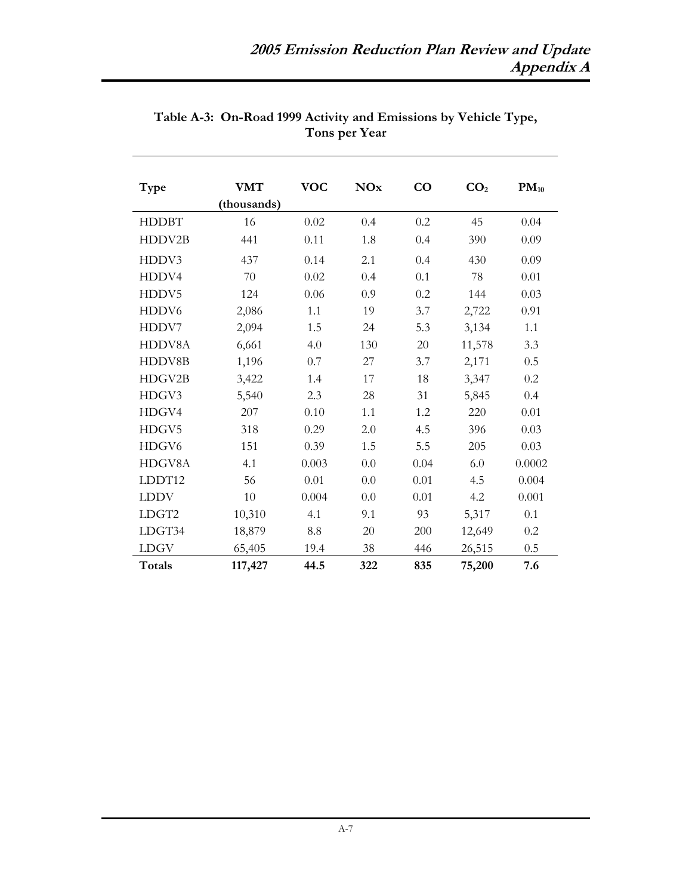| Type         | <b>VMT</b>  | <b>VOC</b> | <b>NOx</b> | CO     | CO <sub>2</sub> | $PM_{10}$ |
|--------------|-------------|------------|------------|--------|-----------------|-----------|
|              | (thousands) |            |            |        |                 |           |
| <b>HDDBT</b> | 16          | 0.02       | 0.4        | 0.2    | 45              | 0.04      |
| HDDV2B       | 441         | 0.11       | 1.8        | 0.4    | 390             | 0.09      |
| HDDV3        | 437         | 0.14       | 2.1        | 0.4    | 430             | 0.09      |
| HDDV4        | 70          | 0.02       | 0.4        | 0.1    | 78              | 0.01      |
| HDDV5        | 124         | 0.06       | 0.9        | 0.2    | 144             | 0.03      |
| HDDV6        | 2,086       | 1.1        | 19         | 3.7    | 2,722           | 0.91      |
| HDDV7        | 2,094       | 1.5        | 24         | 5.3    | 3,134           | 1.1       |
| HDDV8A       | 6,661       | 4.0        | 130        | $20\,$ | 11,578          | 3.3       |
| HDDV8B       | 1,196       | 0.7        | 27         | 3.7    | 2,171           | 0.5       |
| HDGV2B       | 3,422       | 1.4        | 17         | 18     | 3,347           | 0.2       |
| HDGV3        | 5,540       | 2.3        | 28         | 31     | 5,845           | 0.4       |
| HDGV4        | 207         | 0.10       | 1.1        | 1.2    | 220             | 0.01      |
| HDGV5        | 318         | 0.29       | 2.0        | 4.5    | 396             | 0.03      |
| HDGV6        | 151         | 0.39       | 1.5        | 5.5    | 205             | 0.03      |
| HDGV8A       | 4.1         | 0.003      | 0.0        | 0.04   | 6.0             | 0.0002    |
| LDDT12       | 56          | 0.01       | 0.0        | 0.01   | 4.5             | 0.004     |
| <b>LDDV</b>  | 10          | 0.004      | 0.0        | 0.01   | 4.2             | 0.001     |
| LDGT2        | 10,310      | 4.1        | 9.1        | 93     | 5,317           | 0.1       |
| LDGT34       | 18,879      | 8.8        | 20         | 200    | 12,649          | 0.2       |
| <b>LDGV</b>  | 65,405      | 19.4       | 38         | 446    | 26,515          | 0.5       |
| Totals       | 117,427     | 44.5       | 322        | 835    | 75,200          | 7.6       |

**Table A-3: On-Road 1999 Activity and Emissions by Vehicle Type, Tons per Year**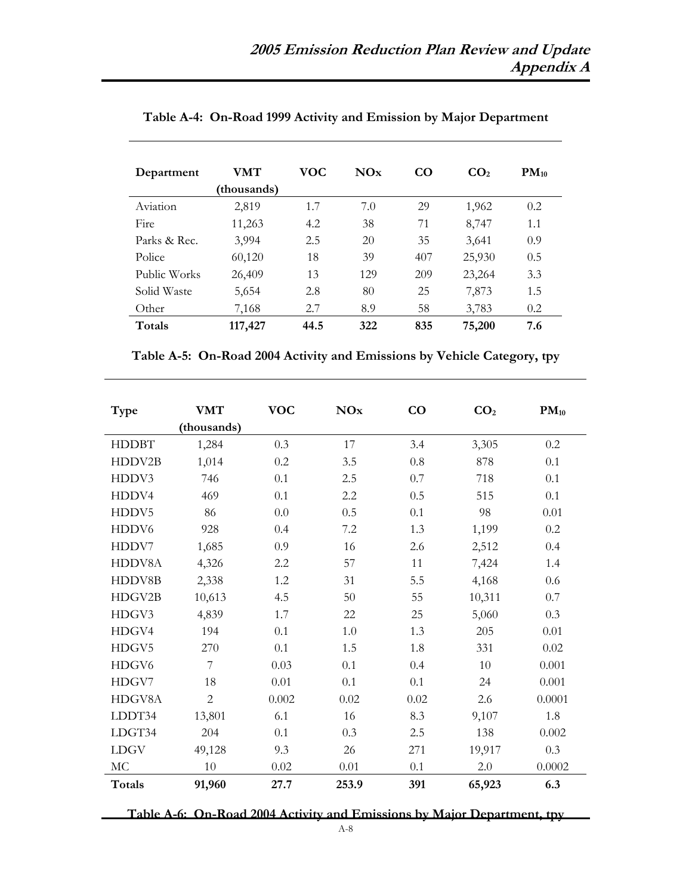| Department   | VMT         | VOC  | NOx | <b>CO</b> | CO <sub>2</sub> | $PM_{10}$ |
|--------------|-------------|------|-----|-----------|-----------------|-----------|
|              | (thousands) |      |     |           |                 |           |
| Aviation     | 2,819       | 1.7  | 7.0 | 29        | 1,962           | 0.2       |
| Fire         | 11,263      | 4.2  | 38  | 71        | 8,747           | 1.1       |
| Parks & Rec. | 3,994       | 2.5  | 20  | 35        | 3,641           | 0.9       |
| Police       | 60,120      | 18   | 39  | 407       | 25,930          | 0.5       |
| Public Works | 26,409      | 13   | 129 | 209       | 23,264          | 3.3       |
| Solid Waste  | 5,654       | 2.8  | 80  | 25        | 7,873           | 1.5       |
| Other        | 7,168       | 2.7  | 8.9 | 58        | 3,783           | 0.2       |
| Totals       | 117,427     | 44.5 | 322 | 835       | 75,200          | 7.6       |

# **Table A-4: On-Road 1999 Activity and Emission by Major Department**

| Table A-5: On-Road 2004 Activity and Emissions by Vehicle Category, tpy |  |  |
|-------------------------------------------------------------------------|--|--|
|                                                                         |  |  |

| Type         | <b>VMT</b>     | <b>VOC</b> | <b>NOx</b> | $\rm CO$ | CO <sub>2</sub> | $PM_{10}$ |
|--------------|----------------|------------|------------|----------|-----------------|-----------|
|              | (thousands)    |            |            |          |                 |           |
| <b>HDDBT</b> | 1,284          | 0.3        | 17         | 3.4      | 3,305           | 0.2       |
| HDDV2B       | 1,014          | 0.2        | 3.5        | 0.8      | 878             | 0.1       |
| HDDV3        | 746            | 0.1        | 2.5        | 0.7      | 718             | 0.1       |
| HDDV4        | 469            | 0.1        | 2.2        | 0.5      | 515             | 0.1       |
| HDDV5        | 86             | 0.0        | 0.5        | 0.1      | 98              | 0.01      |
| HDDV6        | 928            | 0.4        | 7.2        | 1.3      | 1,199           | 0.2       |
| HDDV7        | 1,685          | 0.9        | 16         | 2.6      | 2,512           | 0.4       |
| HDDV8A       | 4,326          | 2.2        | 57         | 11       | 7,424           | 1.4       |
| HDDV8B       | 2,338          | $1.2\,$    | 31         | 5.5      | 4,168           | 0.6       |
| HDGV2B       | 10,613         | 4.5        | $50\,$     | 55       | 10,311          | 0.7       |
| HDGV3        | 4,839          | 1.7        | 22         | 25       | 5,060           | 0.3       |
| HDGV4        | 194            | 0.1        | 1.0        | 1.3      | 205             | 0.01      |
| HDGV5        | 270            | 0.1        | 1.5        | 1.8      | 331             | 0.02      |
| HDGV6        | $\overline{7}$ | 0.03       | 0.1        | 0.4      | 10              | 0.001     |
| HDGV7        | 18             | 0.01       | 0.1        | 0.1      | 24              | 0.001     |
| HDGV8A       | $\overline{2}$ | 0.002      | 0.02       | 0.02     | 2.6             | 0.0001    |
| LDDT34       | 13,801         | 6.1        | 16         | 8.3      | 9,107           | 1.8       |
| LDGT34       | 204            | 0.1        | 0.3        | 2.5      | 138             | 0.002     |
| LDGV         | 49,128         | 9.3        | 26         | 271      | 19,917          | 0.3       |
| <b>MC</b>    | 10             | 0.02       | 0.01       | 0.1      | 2.0             | 0.0002    |
| Totals       | 91,960         | 27.7       | 253.9      | 391      | 65,923          | 6.3       |

**Table A-6: On-Road 2004 Activity and Emissions by Major Department, tpy**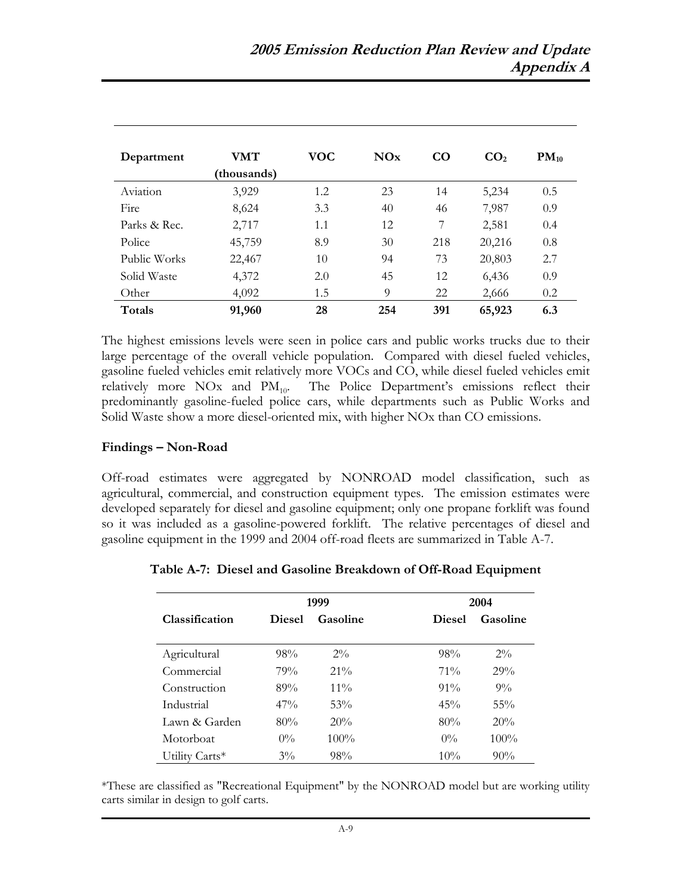| Department   | VMT<br>(thousands) | <b>VOC</b> | <b>NOx</b> | CO  | CO <sub>2</sub> | $PM_{10}$ |
|--------------|--------------------|------------|------------|-----|-----------------|-----------|
| Aviation     | 3,929              | 1.2        | 23         | 14  | 5,234           | 0.5       |
| Fire         | 8,624              | 3.3        | 40         | 46  | 7,987           | 0.9       |
| Parks & Rec. | 2,717              | 1.1        | 12         | 7   | 2,581           | 0.4       |
| Police       | 45,759             | 8.9        | 30         | 218 | 20,216          | 0.8       |
| Public Works | 22,467             | 10         | 94         | 73  | 20,803          | 2.7       |
| Solid Waste  | 4,372              | 2.0        | 45         | 12  | 6,436           | 0.9       |
| Other        | 4,092              | 1.5        | 9          | 22  | 2,666           | 0.2       |
| Totals       | 91,960             | 28         | 254        | 391 | 65,923          | 6.3       |

The highest emissions levels were seen in police cars and public works trucks due to their large percentage of the overall vehicle population. Compared with diesel fueled vehicles, gasoline fueled vehicles emit relatively more VOCs and CO, while diesel fueled vehicles emit relatively more  $NOx$  and  $PM_{10}$ . The Police Department's emissions reflect their predominantly gasoline-fueled police cars, while departments such as Public Works and Solid Waste show a more diesel-oriented mix, with higher NOx than CO emissions.

#### **Findings – Non-Road**

Off-road estimates were aggregated by NONROAD model classification, such as agricultural, commercial, and construction equipment types. The emission estimates were developed separately for diesel and gasoline equipment; only one propane forklift was found so it was included as a gasoline-powered forklift. The relative percentages of diesel and gasoline equipment in the 1999 and 2004 off-road fleets are summarized in Table A-7.

|                | 1999          |          |               | 2004     |
|----------------|---------------|----------|---------------|----------|
| Classification | <b>Diesel</b> | Gasoline | <b>Diesel</b> | Gasoline |
|                |               |          |               |          |
| Agricultural   | 98%           | $2\%$    | 98%           | $2\%$    |
| Commercial     | 79%           | $21\%$   | $71\%$        | 29%      |
| Construction   | 89%           | $11\%$   | $91\%$        | $9\%$    |
| Industrial     | $47\%$        | 53%      | $45\%$        | $55\%$   |
| Lawn & Garden  | 80%           | 20%      | 80%           | 20%      |
| Motorboat      | $0\%$         | $100\%$  | $0\%$         | $100\%$  |
| Utility Carts* | $3\%$         | 98%      | $10\%$        | $90\%$   |

**Table A-7: Diesel and Gasoline Breakdown of Off-Road Equipment**

\*These are classified as "Recreational Equipment" by the NONROAD model but are working utility carts similar in design to golf carts.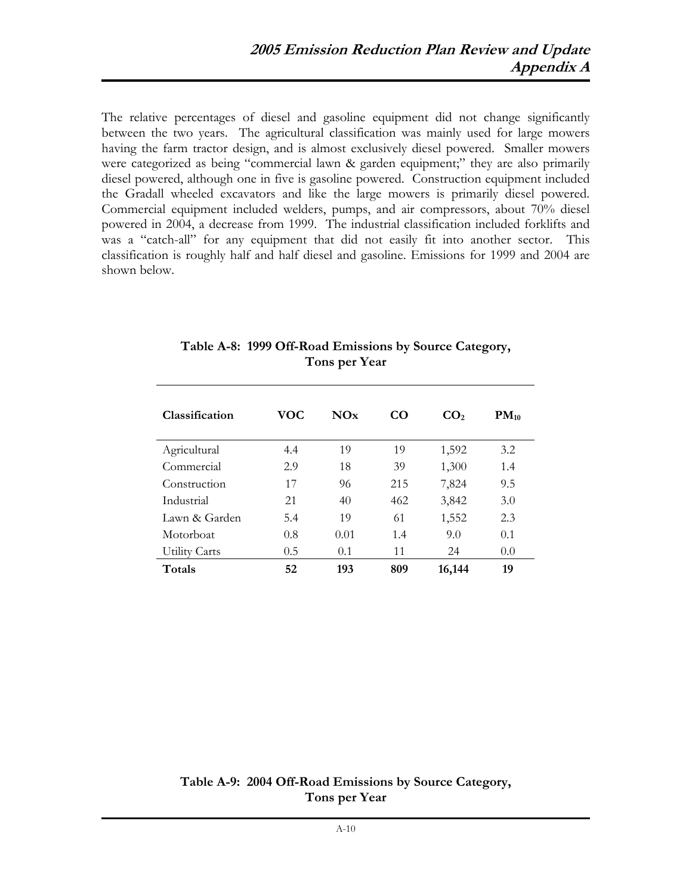The relative percentages of diesel and gasoline equipment did not change significantly between the two years. The agricultural classification was mainly used for large mowers having the farm tractor design, and is almost exclusively diesel powered. Smaller mowers were categorized as being "commercial lawn & garden equipment;" they are also primarily diesel powered, although one in five is gasoline powered. Construction equipment included the Gradall wheeled excavators and like the large mowers is primarily diesel powered. Commercial equipment included welders, pumps, and air compressors, about 70% diesel powered in 2004, a decrease from 1999. The industrial classification included forklifts and was a "catch-all" for any equipment that did not easily fit into another sector. This classification is roughly half and half diesel and gasoline. Emissions for 1999 and 2004 are shown below.

| Classification | VOC | NOx  | CO  | CO <sub>2</sub> | $PM_{10}$ |
|----------------|-----|------|-----|-----------------|-----------|
| Agricultural   | 4.4 | 19   | 19  | 1,592           | 3.2       |
| Commercial     | 2.9 | 18   | 39  | 1,300           | 1.4       |
| Construction   | 17  | 96   | 215 | 7,824           | 9.5       |
| Industrial     | 21  | 40   | 462 | 3,842           | 3.0       |
| Lawn & Garden  | 5.4 | 19   | 61  | 1,552           | 2.3       |
| Motorboat      | 0.8 | 0.01 | 1.4 | 9.0             | 0.1       |
| Utility Carts  | 0.5 | 0.1  | 11  | 24              | 0.0       |
| Totals         | 52  | 193  | 809 | 16,144          | 19        |

#### **Table A-8: 1999 Off-Road Emissions by Source Category, Tons per Year**

# **Table A-9: 2004 Off-Road Emissions by Source Category, Tons per Year**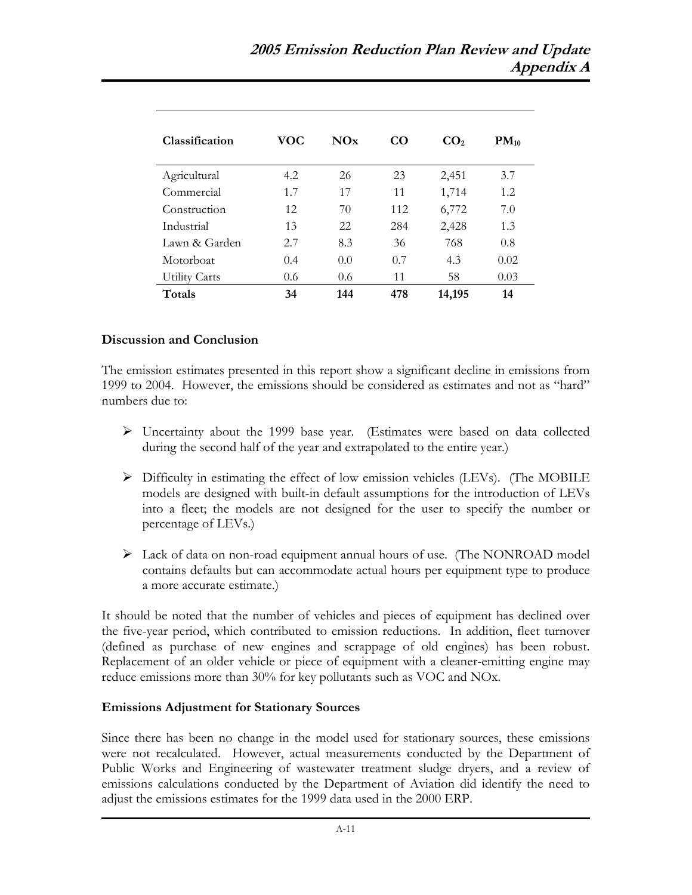| Classification | <b>VOC</b>    | NOx | CO  | CO <sub>2</sub> | $PM_{10}$ |
|----------------|---------------|-----|-----|-----------------|-----------|
| Agricultural   | 4.2           | 26  | 23  | 2,451           | 3.7       |
| Commercial     | 1.7           | 17  | 11  | 1,714           | 1.2       |
| Construction   | 12            | 70  | 112 | 6,772           | 7.0       |
| Industrial     | 13            | 22  | 284 | 2,428           | 1.3       |
| Lawn & Garden  | 2.7           | 8.3 | 36  | 768             | 0.8       |
| Motorboat      | 0.4           | 0.0 | 0.7 | 4.3             | 0.02      |
| Utility Carts  | $0.6^{\circ}$ | 0.6 | 11  | 58              | 0.03      |
| Totals         | 34            | 144 | 478 | 14,195          | 14        |

# **Discussion and Conclusion**

The emission estimates presented in this report show a significant decline in emissions from 1999 to 2004. However, the emissions should be considered as estimates and not as "hard" numbers due to:

- ¾ Uncertainty about the 1999 base year. (Estimates were based on data collected during the second half of the year and extrapolated to the entire year.)
- ¾ Difficulty in estimating the effect of low emission vehicles (LEVs). (The MOBILE models are designed with built-in default assumptions for the introduction of LEVs into a fleet; the models are not designed for the user to specify the number or percentage of LEVs.)
- ¾ Lack of data on non-road equipment annual hours of use. (The NONROAD model contains defaults but can accommodate actual hours per equipment type to produce a more accurate estimate.)

It should be noted that the number of vehicles and pieces of equipment has declined over the five-year period, which contributed to emission reductions. In addition, fleet turnover (defined as purchase of new engines and scrappage of old engines) has been robust. Replacement of an older vehicle or piece of equipment with a cleaner-emitting engine may reduce emissions more than 30% for key pollutants such as VOC and NOx.

#### **Emissions Adjustment for Stationary Sources**

Since there has been no change in the model used for stationary sources, these emissions were not recalculated. However, actual measurements conducted by the Department of Public Works and Engineering of wastewater treatment sludge dryers, and a review of emissions calculations conducted by the Department of Aviation did identify the need to adjust the emissions estimates for the 1999 data used in the 2000 ERP.